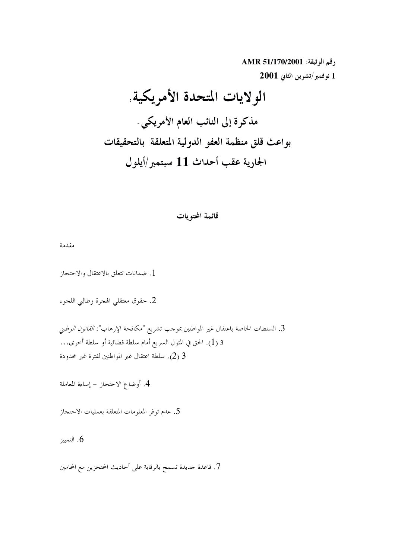رقم الوثيقة: AMR 51/170/2001

1 نوفمبر/تشرين الثاني 2001

الو لايات المتحدة الأمريكية. مذكرة إلى النائب العام الأمريكي ـ بواعث قلق منظمة العفو الدولية المتعلقة بالتحقيقات الجارية عقب أحداث 11 سبتمبر /أيلول

قائمة المحتويات

مقدمة

1. ضمانات تتعلق بالاعتقال والاحتجاز

2. حقوق معتقلي الهجرة وطالبي اللجوء

3. السلطات الخاصة باعتقال غير المواطنين بموحب تشريع "مكافحة الإرهاب": *القانون الوطني* 3 (1). الحق في المثول السريع أمام سلطة قضائية أو سلطة أخرى... .<br>2 (2). سلطة اعتقال غير المواطنين لفترة غير محدودة

4. أوضاع الاحتجاز – إساءة المعاملة

5. عدم توفر المعلومات المتعلقة بعمليات الاحتجاز

. التمييز

7. قاعدة جديدة تسمح بالرقابة على أحاديث المحتجزين مع المحامين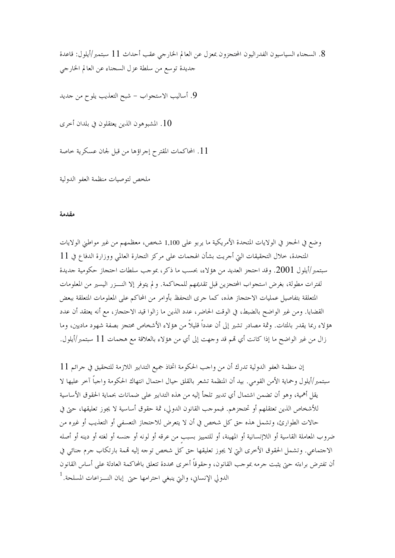8. السجناء السياسيون الفدراليون المحتجزون بمعزل عن العالم الخارجي عقب أحداث 11 سبتمبر/أيلول: قاعدة جديدة توسع من سلطة عزل السجناء عن العالم الخارجي

9. أساليب الاستجواب – شبح التعذيب يلوح من جديد

10. المشبوهون الذين يعتقلون في بلدان أخرى

11. المحاكمات المقترح إجراؤها من قبل لجان عسكرية خاصة

ملخص لتوصيات منظمة العفو الدولية

#### مقدمة

وضع في الحجز في الولايات المتحدة الأمريكية ما يربو على 1,100 شخص، معظمهم من غير مواطني الولايات المتحدة، خلال التحقيقات التي أحريت بشأن الهجمات على مركز التحارة العالمي ووزارة الدفاع في 11 سبتمبر/أيلول 2001. وقد احتجز العديد من هؤلاء، بحسب ما ذكر، بموجب سلطات احتجاز حكومية جديدة لفترات مطولة، بغرض استجواب المحتجزين قبل تقديمهم للمحاكمة. و لم يتوفر إلا النـــزر اليسير من المعلومات المتعلقة بتفاصيل عمليات الاحتجاز هذه، كما جرى التحفظ بأوامر من المحاكم على المعلومات المتعلقة ببعض القضايا. ومن غير الواضح بالضبط، في الوقت الحاضر، عدد الذين ما زالوا قيد الاحتجاز، مع أنه يعتقد أن عدد هؤلاء ربما يقدر بالمئات. وثمة مصادر تشير إلى أن عدداً قليلاً من هؤلاء الأشخاص محتجز بصفة شهود ماديين، وما زال من غير الواضح ما إذا كانت أي قمم قد وجهت إلى أي من هؤلاء بالعلاقة مع هجمات 11 سبتمبر/أيلول.

إن منظمة العفو الدولية تدرك أن من واحب الحكومة اتخاذ جميع التدابير اللازمة للتحقيق في جرائم 11 سبتمبر/أيلول وحماية الأمن القومي. بيد أن المنظمة تشعر بالقلق حيال احتمال انتهاك الحكومة واجباً آخر عليها لا يقل أهمية، وهو أن تضمن اشتمال أي تدبير تلجأ إليه من هذه التدابير على ضمانات بحماية الحقوق الأساسية للأشخاص الذين تعتقلهم أو تحتجزهم. فبموحب القانون الدولي، ثمة حقوق أساسية لا يجوز تعليقها، حتى في حالات الطوارئ، وتشمل هذه حق كل شخص في أن لا يتعرض للاحتجاز التعسفي أو التعذيب أو غيره من ضروب المعاملة القاسية أو اللاإنسانية أو المهينة، أو للتمييز بسبب من عرقه أو لونه أو حنسه أو لغته أو دينه أو أصله الاجتماعي. وتشمل الحقوق الأخرى التي لا يجوز تعليقها حق كل شخص توجه إليه تممة بارتكاب جرم جنائي في أن تفترض براءته حتى يثبت جرمه بموجب القانون، وحقوقاً أخرى محددة تتعلق بالمحاكمة العادلة على أساس القانون الدولي الإنساني، والتي ينبغي احترامها حتى إبان النـــزاعات المسلحة.<sup>1</sup>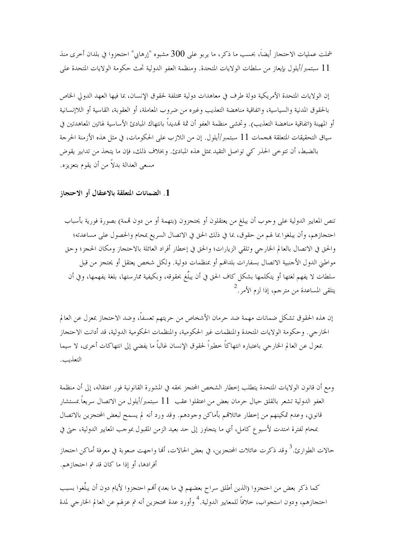شملت عمليات الاحتجاز أيضاً، بحسب ما ذكر ، ما يربو على 300 مشبوه "إرهابي" احتجزوا في بلدان أخرى منذ 11 سبتمبر/أيلول بإيعاز من سلطات الولايات المتحدة. ومنظمة العفو الدولية تحث حكومة الولايات المتحدة على

إن الولايات المتحدة الأمريكية دولة طرف في معاهدات دولية مختلفة لحقوق الإنسان، بما فيها العهد الدولي الخاص بالحقوق المدنية والسياسية، واتفاقية مناهضة التعذيب وغيره من ضروب المعاملة، أو العقوبة، القاسية أو اللاإنسانية أو المهينة (اتفاقية مناهضة التعذيب). وتخشى منظمة العفو أن ثمة تمديداً بانتهاك المبادئ الأساسية لهاتين المعاهدتين في سياق التحقيقات المتعلقة بمحمات 11 سبتمبر/أيلول. إن من اللازب على الحكومات، في مثل هذه الأزمنة الحرجة بالضبط، أن تتوحى الحذر كي تواصل التقيد بمثل هذه المبادئ. وبخلاف ذلك، فإن ما يتخذ من تدابير يقوض مسعى العدالة بدلاً من أن يقوم بتعزيزه.

### 1. الضمانات المتعلقة بالاعتقال أو الاحتجاز

تنص المعايير الدولية على وجوب أن يبلغ من يعتقلون أو يحتجزون (بتهمة أو من دون تممة) بصورة فورية بأسباب احتجازهم، وأن يبلغوا بما لهم من حقوق، بما في ذلك الحق في الاتصال السريع بمحام والحصول على مساعدته؛ والحق في الاتصال بالعالم الخارجي وتلقى الزيارات؛ والحق في إخطار أفراد العائلة بالاحتجاز ومكان الحجز؛ وحق مواطني الدول الأحنبية الاتصال بسفارات بلدافمم أو بمنظمات دولية. ولكل شخص يعتقل أو يحتجز من قبل سلطات لا يفهم لغتها أو يتكلمها بشكل كاف الحق في أن يبلّغ بحقوقه، وبكيفية ممارستها، بلغة يفهمها، وفي أن يتلقى المساعدة من مترجم، إذا لزم الأمر .<sup>2</sup>

إن هذه الحقوق تشكل ضمانات مهمة ضد حرمان الأشخاص من حريتهم تعسفاً، وضد الاحتجاز بمعزل عن العالم الخارجي. وحكومة الولايات المتحدة والمنظمات غير الحكومية، والمنظمات الحكومية الدولية، قد أدانت الاحتجاز بمعزل عن العالم الخارجي باعتباره انتهاكاً خطيراً لحقوق الإنسان غالباً ما يفضي إلى انتهاكات أخرى، لا سيما التعذيب.

ومع أن قانون الولايات المتحدة يتطلب إخطار الشخص المحتجز بحقه في المشورة القانونية فور اعتقاله، إلى أن منظمة العفو الدولية تشعر بالقلق حيال حرمان بعض من اعتقلوا عقب 11 سبتمبر/أيلول من الاتصال سريعاً بمستشار قانويي، وعدم تمكينهم من إخطار عائلاقم بأماكن وجودهم. وقد ورد أنه لم يسمح لبعض المحتجزين بالاتصال بمحام لفترة امتدت لأسبو ع كامل، أي ما يتجاوز إلى حد بعيد الزمن المقبول بموحب المعايير الدولية، حتى في

حالات الطوارئ.<sup>3</sup> وقد ذكرت عائلات المختجزين، في بعض الحالات، ألها واجهت صعوبة في معرفة أماكن احتجاز أفرادها، أو إذا ما كان قد تم احتجازهم.

كما ذكر بعض من احتجزوا (الذين أطلق سراح بعضهم في ما بعد) أفمم احتجزوا لأيام دون أن يبلُّغوا بسبب احتجازهم، ودون استجواب، حلافاً للمعايير الدولية.<sup>4</sup> وأورد عدة محتجزين أنه تم عزلهم عن العالم الخارجي لمدة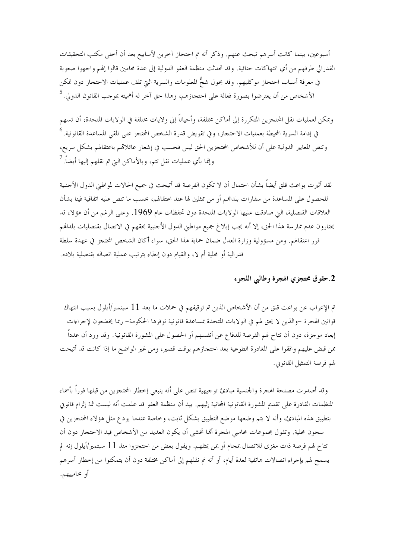أسبوعين، بينما كانت أسرهم تبحث عنهم. وذكر أنه تم احتجاز آخرين لأسابيع بعد أن أخلى مكتب التحقيقات الفدرالي طرفهم من أي انتهاكات جنائية. وقد تحدثت منظمة العفو الدولية إلى عدة محامين قالوا إنهم واجهوا صعوبة في معرفة أسباب احتجاز موكليهم. وقد يحول شعُّ المعلومات والسرية التي تلف عمليات الاحتجاز دون تمكن الأشخاص من أن يعترضوا بصورة فعالة على احتجازهم، وهذا حق آخر له أهميته بموجب القانون الدولي.<sup>5</sup>

ويمكن لعمليات نقل المحتجزين المتكررة إلى أماكن مختلفة، وأحياناً إلى ولايات مختلفة في الولايات المتحدة، أن تسهم في إدامة السرية المحيطة بعمليات الاحتجاز، وفي تقويض قدرة الشخص المحتجز على تلقى المساعدة القانونية. <sup>6</sup> وتنص المعايير الدولية على أن للأشخاص المحتجزين الحق ليس فحسب في إشعار عائلاقمم باعتقالهم بشكل سريع، وإنما بأي عمليات نقل تتم، وبالأماكن التي تم نقلهم إليها أيضاً. <sup>7</sup>

لقد أثيرت بواعث قلق أيضاً بشأن احتمال أن لا تكون الفرصة قد أتيحت في جميع الحالات لمواطني الدول الأحنبية للحصول على المساعدة من سفارات بلدالهم أو من ممثلين لها عند اعتقالهم، بحسب ما تنص عليه اتفاقية فينا بشأن العلاقات القنصلية، التي صادقت عليها الولايات المتحدة دون تحفظات عام 1969. وعلى الرغم من أن هؤلاء قد يختارون عدم ممارسة هذا الحق، إلا أنه يجب إبلاغ جميع مواطنى الدول الأحنبية بحقهم في الاتصال بقنصليات بلدالهم فور اعتقالهم. ومن مسؤولية وزارة العدل ضمان حماية هذا الحق، سواء أكان الشخص المحتجز في عهدة سلطة فدرالية أو محلية أم لا، والقيام دون إبطاء بترتيب عملية اتصاله بقنصلية بلاده.

2.حقوق محتجزي الهجرة وطالبي اللجوء

تم الإعراب عن بواعث قلق من أن الأشخاص الذين تم توقيفهم في حملات ما بعد 11 سبتمبر/أيلول بسبب انتهاك قوانين الهجرة –والذين لا يحق لهم في الولايات المتحدة بمساعدة قانونية توفرها الحكومة– ربما يخضعون لإحراءات إبعاد موجزة، دون أن تتاح لهم الفرصة للدفاع عن أنفسهم أو الحصول على المشورة القانونية. وقد ورد أن عدداً ممن قبض عليهم وافقوا على المغادرة الطوعية بعد احتجازهم بوقت قصير، ومن غير الواضح ما إذا كانت قد أتيحت لهم فرصة التمثيل القانوين.

وقد أصدرت مصلحة الهجرة والجنسية مبادئ توجيهية تنص على أنه ينبغي إحطار المختجزين من قبلها فوراً بأسماء المنظمات القادرة على تقديم المشورة القانونية المحانية إليهم. بيد أن منظمة العفو قد علمت أنه ليست ثمة إلزام قانوين بتطبيق هذه المبادئ، وأنه لا يتم وضعها موضع التطبيق بشكل ثابت، وخاصة عندما يودع مثل هؤلاء المحتجزين في سجون محلية. وتقول مجموعات محاميي الهجرة ألها تخشى أن يكون العديد من الأشخاص قيد الاحتجاز دون أن تتاح لهم فرصة ذات مغزى للاتصال بمحام أو بمن يمثلهم. ويقول بعض من احتجزوا منذ 11 سبتمبر/أيلول إنه لم يسمح لهم بإجراء اتصالات هاتفية لعدة أيام، أو أنه تم نقلهم إلى أماكن مختلفة دون أن يتمكنوا من إحطار أسرهم أو محامييهم.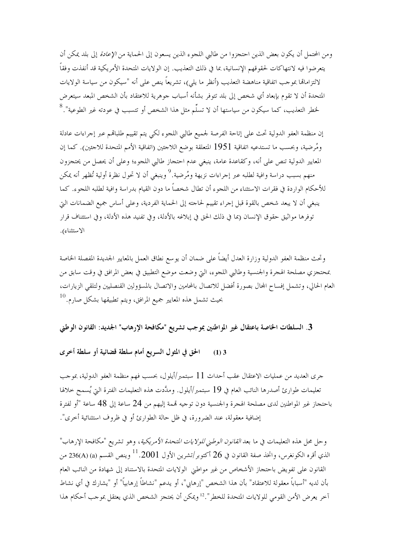ومن المحتمل أن يكون بعض الذين احتجزوا من طالبي اللجوء الذين يسعون إلى الحماية من *الإعادة* إلى بلد يمكن أن يتعرضوا فيه لانتهاكات لحقوقهم الإنسانية، بما في ذلك التعذيب. إن الولايات المتحدة الأمريكية قد أنفذت وفقاً لالتزامالها بموحب اتفاقية مناهضة التعذيب (أنظر ما يلي)، تشريعاً ينص على أنه "سيكون من سياسة الولايات المتحدة أن لا تقوم بإبعاد أي شخص إلى بلد تتوفر بشأنه أسباب جوهرية للاعتقاد بأن الشخص المبعد سيتعرض لخطر التعذيب، كما سيكون من سياستها أن لا تسلُّم مثل هذا الشخص أو تتسبب في عودته غير الطوعية". <sup>8</sup>

إن منظمة العفو الدولية تحث على إتاحة الفرصة لجميع طالبي اللجوء لكي يتم تقييم طلباقمم عبر إجراءات عادلة ومُرضية، وبحسب ما تستدعيه اتفاقية 1951 المتعلقة بوضع اللاحئين (اتفاقية الأمم المتحدة للاحئين). كما إن المعايير الدولية تنص على أنه، وكقاعدة عامة، ينبغي عدم احتجاز طالبي اللجوء؛ وعلى أن يحصل من يحتجزون منهم بسبب دراسة وافية لطلبه عبر إجراءات نزيهة ومُرضية.<sup>9</sup> وينبغي أن لا تحول نظرة أولية تُظهر أنه يمكن للأحكام الواردة في فقرات الاستثناء من اللجوء أن تطال شخصاً ما دون القيام بدراسة وافية لطلبه اللجوء. كما ينبغي أن لا يبعد شخص بالقوة قبل إجراء تقييم لحاجته إلى الحماية الفردية، وعلى أساس جميع الضمانات التي توفرها مواثيق حقوق الإنسان (بما في ذلك الحق في إبلاغه بالأدلة، وفي تفنيد هذه الأدلة، وفي استئناف قرار الاستثناء).

وتحث منظمة العفو الدولية وزارة العدل أيضاً على ضمان أن يوسع نطاق العمل بالمعايير الجديدة المفصلة الخاصة بمحتجزي مصلحة الهجرة والجنسية وطالبي اللجوء، التي وضعت موضع التطبيق في بعض المرافق في وقت سابق من العام الحالي، وتشمل إفساح المحال بصورة أفضل للاتصال بالمحامين والاتصال بالمسؤولين القنصليين ولتلقى الزيارات، بحيث تشمل هذه المعايير جميع المرافق، ويتم تطبيقها بشكل صارم.<sup>10</sup>

3. السلطات الخاصة باعتقال غير المواطنين بموجب تشريع "مكافحة الإرهاب" الجديد: القانون الوطني

الحق في المثول السريع أمام سلطة قضائية أو سلطة أخرى  $(1)$  3

جرى العديد من عمليات الاعتقال عقب أحداث 11 سبتمبر/أيلول، بحسب فهم منظمة العفو الدولية، بموجب تعليمات طوارئ أصدرها النائب العام في 19 سبتمبر/أيلول. ومدَّدت هذه التعليمات الفترة التي يُسمح خلالها باحتجاز غير المواطنين لدى مصلحة الهجرة والجنسية دون توجيه تممة إليهم من 24 ساعة إلى 48 ساعة "أو لفترة إضافية معقولة، عند الضرورة، في ظلِّ حالة الطوارئ أو في ظروف استثنائية أخرى".

وحل محل هذه التعليمات في ما بعد *القانون الوطني للولايات المتحدة الأمريكية*، وهو تشريع "مكافحة الإرهاب" الذي أقره الكونغرس، واتخذ صفة القانون في 26 أكتوبر/تشرين الأول 2001. <sup>11</sup> وينص القسم (a) (236(A) من القانون على تفويض باحتجاز الأشخاص من غير مواطبي الولايات المتحدة بالاستناد إلى شهادة من النائب العام بأن لديه "أسباباً معقولة للاعتقاد" بأن هذا الشخص "إرهابي"، أو يدعم "نشاطاً إرهابياً" أو "يشارك في أي نشاط آخر يعرض الأمن القومي للولايات المتحدة للخطر".<sup>12</sup>ويمكن أن يحتجز الشخص الذي يعتقل بموجب أحكام هذا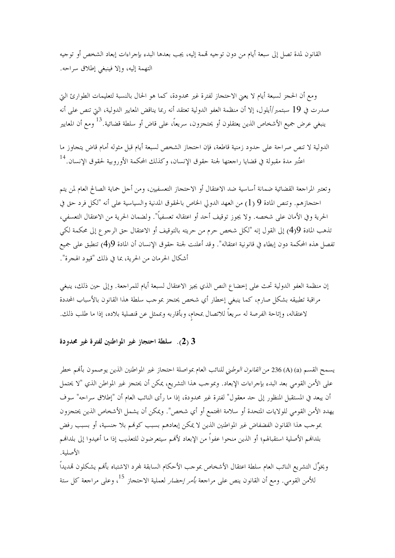القانون لمدة تصل إلى سبعة أيام من دون توجيه تممة إليه، يجب بعدها البدء بإجراءات إبعاد الشخص أو توجيه التهمة إليه، وإلا فينبغي إطلاق سراحه.

ومع أن الحجز لسبعة أيام لا يعني الاحتجاز لفترة غير محدودة، كما هو الحال بالنسبة لتعليمات الطوارئ التي صدرت في 19 سبتمبر/أيلول، إلا أن منظمة العفو الدولية تعتقد أنه ربما يناقض المعايير الدولية، التي تنص على أنه ينبغي عرض جميع الأشخاص الذين يعتقلون أو يحتجزون، سريعاً، على قاض أو سلطة قضائية. <sup>13</sup> ومع أن المعايير

الدولية لا تنص صراحة على حدود زمنية قاطعة، فإن احتجاز الشخص لسبعة أيام قبل مثوله أمام قاض يتجاوز ما اعتُبر مدة مقبولة في قضايا راجعتها لجنة حقوق الإنسان، وكذلك المحكمة الأوروبية لحقوق الإنسان.<sup>14</sup>

وتعتبر المراجعة القضائية ضمانة أساسية ضد الاعتقال أو الاحتجاز التعسفيين، ومن أحل حماية الصالح العام لمن يتم احتجازهم. وتنص المادة 9 (1) من العهد الدولي الخاص بالحقوق المدنية والسياسية على أنه "لكل فرد حق في الحرية وفي الأمان على شخصه. ولا يجوز توقيف أحد أو اعتقاله تعسفياً". ولضمان الحرية من الاعتقال التعسفي، تذهب المادة 9(4) إلى القول إنه "لكل شخص حرم من حريته بالتوقيف أو الاعتقال حق الرجوع إلى محكمة لكي تفصل هذه المحكمة دون إبطاء في قانونية اعتقاله". وقد أعلنت لجنة حقوق الإنسان أن المادة 9(4) تنطبق على جميع أشكال الحرمان من الحرية، بما في ذلك "قيود الهجرة".

إن منظمة العفو الدولية تحتْ على إخضاع النص الذي يجيز الاعتقال لسبعة أيام للمراجعة. وإلى حين ذلك، ينبغي مراقبة تطبيقه بشكل صارم، كما ينبغي إخطار أي شخص يحتجز بموجب سلطة هذا القانون بالأسباب المحددة لاعتقاله، وإتاحة الفرصة له سريعاً للاتصال بمحام، وبأقاربه وبممثل عن قنصلية بلاده، إذا ما طلب ذلك.

## 3 (2). سلطة احتجاز غير المواطنين لفترة غير محدودة

يسمح القسم (a) (A) 236 من *القانون الوط*ني للنائب العام بمواصلة احتجاز غير المواطنين الذين يوصمون بأفمم خطر على الأمن القومي بعد البدء بإحراءات الإبعاد. وبموحب هذا التشريع، يمكن أن يحتجز غير المواطن الذي "لا يحتمل أن يبعد في المستقبل المنظور إلى حد معقول" لفترة غير محدودة، إذا ما رأى النائب العام أن "إطلاق سراحه" سوف يهدد الأمن القومي للولايات المتحدة أو سلامة المحتمع أو أي شخص". ويمكن أن يشمل الأشخاص الذين يحتجزون بموجب هذا القانون الفضفاض غير المواطنين الذين لا يمكن إبعادهم بسبب كولهم بلا جنسية، أو بسبب رفض بلدافم الأصلية استقبالهم؛ أو الذين منحوا عفواً من الإبعاد لأفمم سيتعرضون للتعذيب إذا ما أعيدوا إلى بلدافمم الأصلية.

ويخوِّل التشريع النائب العام سلطة اعتقال الأشخاص بموحب الأحكام السابقة لمحرد الاشتباه بأفمم يشكلون قمديداً للأمن القومي. ومع أن القانون ينص على مراجعة *بأمر إحضار* لعملية الاحتجاز <sup>15</sup>، وعلى مراجعة كل ستة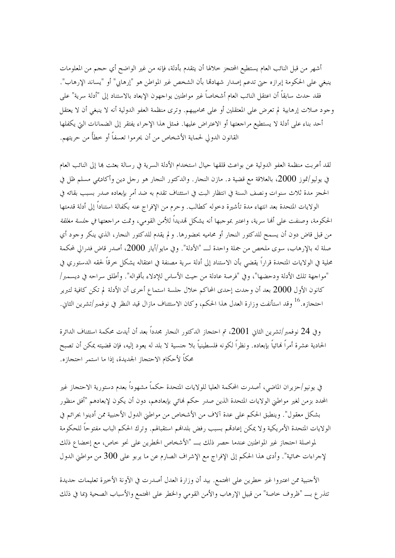أشهر من قبل النائب العام يستطيع المحتجز خلالها أن يتقدم بأدلة، فإنه من غير الواضح أي حجم من المعلومات ينبغي على الحكومة إبرازه حتى تدعم إصدار شهادقما بأن الشخص غير المواطن هو "إرهابي" أو "يساند الإرهاب". فقد حدث سابقاً أن اعتقل النائب العام أشخاصاً غير مواطنين يواجهون الإبعاد بالاستناد إلى "أدلة سرية" على وجود صلات إرهابية لم تعرض على المعتقلين أو على محامييهم. وترى منظمة العفو الدولية أنه لا ينبغي أن لا يعتقل أحد بناء على أدلة لا يستطيع مراجعتها أو الاعتراض عليها. فمثل هذا الإجراء يفتقر إلى الضمانات التي يكفلها القانون الدولي لحماية الأشخاص من أن يحرموا تعسفاً أو خطأً من حريتهم.

لقد أعربت منظمة العفو الدولية عن بواعث قلقها حيال استخدام الأدلة السرية في رسالة بعثت بما إلى النائب العام في يوليو/تموز 2000، بالعلاقة مع قضية د. مازن النجار. والدكتور النجار هو رجل دين وأكاديمي مسلم ظل في الحجز مدة ثلاث سنوات ونصف السنة في انتظار البت في استئناف تقدم به ضد أمر بإبعاده صدر بسبب بقائه في الولايات المتحدة بعد انتهاء مدة تأشيرة دحوله كطالب. وحرم من الإفراج عنه بكفالة استناداً إلى أدلة قدمتها الحكومة، وصنفت على ألها سرية، واعتبر بموجبها أنه يشكل قمديداً للأمن القومي، وتمت مراجعتها *في جلسة مغلقة* من قبل قاض دون أن يسمح للدكتور النجار أو محاميه بحضورها. و لم يقدم للدكتور النجار، الذي ينكر وجود أي صلة له بالإرهاب، سوى ملخص من جملة واحدة لـــ "الأدلة". وفي مايو/أيار 2000، أصدر قاض فدرالي لمحكمة محلية في الولايات المتحدة قراراً يقضي بأن الاستناد إلى أدلة سرية مصنفة في اعتقاله يشكل حرقاً لحقه الدستوري في "مواجهة تلك الأدلة ودحضها"، وفي "فرصة عادلة من حيث الأساس للإدلاء بأقواله". وأطلق سراحه في ديسمبر/ كانون الأول 2000 بعد أن وجدت إحدى المحاكم حلال حلسة استماع أخرى أن الأدلة لم تكن كافية لتبرير احتجازه.<sup>16</sup> وقد استأنفت وزارة العدل هذا الحكم، وكان الاستئناف مازال قيد النظر في نوفمبر/تشرين الثاني.

وفي 24 نوفمبر/تشرين الثاني 2001، تم احتجاز الدكتور النجار مجدداً بعد أن أيدت محكمة استئناف الدائرة الحادية عشرة أمراً فمائياً بإبعاده. ونظراً لكونه فلسطينياً بلا حنسية لا بلد له يعود إليه، فإن قضيته يمكن أن تصبح محكاً لأحكام الاحتجاز الجديدة، إذا ما استمر احتجازه.

في يونيو/حزيران الماضي، أصدرت المحكمة العليا للولايات المتحدة حكماً مشهوداً بعدم دستورية الاحتجاز غير المحدد بزمن لغير مواطني الولايات المتحدة الذين صدر حكم فمائي بإبعادهم، دون أن يكون لإبعادهم "أفق منظور بشكل معقول". وينطبق الحكم على عدة آلاف من الأشخاص من مواطني الدول الأجنبية ممن أدينوا بجرائم في الولايات المتحدة الأمريكية ولا يمكن إعادقمم بسبب رفض بلدافمم استقبالهم. وترك الحكم الباب مفتوحاً للحكومة لمواصلة احتجاز غير المواطنين عندما حصر ذلك بــ "الأشخاص الخطرين على نحو حاص، مع إحضاع ذلك لإحراءات حمائية". وأدى هذا الحكم إلى الإفراج مع الإشراف الصارم عن ما يربو على 300 من مواطني الدول

الأحنبية ممن اعتبروا غير حطرين على المحتمع. بيد أن وزارة العدل أصدرت في الآونة الأخيرة تعليمات حديدة تتذرع بـــ "ظروف خاصة" من قبيل الإرهاب والأمن القومي والخطر على المحتمع والأسباب الصحية (بما في ذلك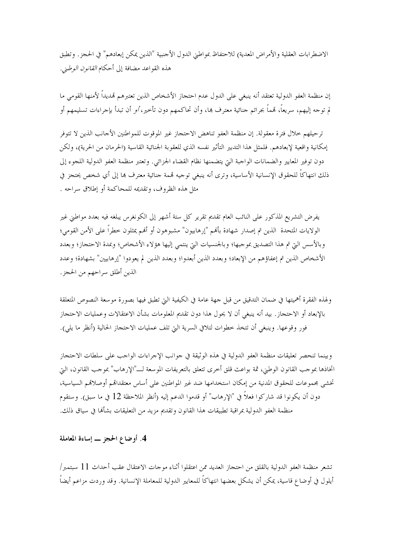الاضطرابات العقلية والأمراض المعدية) للاحتفاظ بمواطبي الدول الأجنبية "الذين يمكن إبعادهم" في الحجز . وتطبق هذه القواعد مضافة إلى أحكام *القانون الوطني*.

إن منظمة العفو الدولية تعتقد أنه ينبغي على الدول عدم احتجاز الأشخاص الذين تعتبرهم تمديداً لأمنها القومي ما لم توجه إليهم، سريعاً، قمماً بجرائم حنائية معترف بما، وأن تحاكمهم دون تأخير، *أو* أن تبدأ بإجراءات تسليمهم أو

ترحيلهم حلال فترة معقولة. إن منظمة العفو تناهض الاحتجاز غير الموقوت للمواطنين الأجانب الذين لا تتوفر إمكانية واقعية لإبعادهم. فلمثل هذا التدبير التأثير نفسه الذي للعقوبة الجنائية القاسية (الحرمان من الحرية)، ولكن دون توفير المعايير والضمانات الواجبة التي يتضمنها نظام القضاء الجزائي. وتعتبر منظمة العفو الدولية اللجوء إلى ذلك انتهاكاً للحقوق الإنسانية الأساسية، وترى أنه ينبغي توجيه قممة جنائية معترف بما إلى أي شخص يحتجز في مثل هذه الظروف، وتقديمه للمحاكمة أو إطلاق سراحه .

يفرض التشريع المذكور على النائب العام تقديم تقرير كل ستة أشهر إلى الكونغرس يبلغه فيه بعدد مواطني غير الولايات المتحدة الذين تم إصدار شهادة بألهم "إرهابيون" مشبوهون أو ألهم يمثلون حطراً على الأمن القومي؛ وبالأسس التي تم هذا التصديق بموجبها؛ وبالجنسيات التي ينتمي إليها هؤلاء الأشخاص؛ وبمدة الاحتجاز؛ وبعدد الأشخاص الذين تم إعفاؤهم من الإبعاد؛ وبعدد الذين أبعدوا؛ وبعدد الذين لم يعودوا "إرهابيين" بشهادة؛ وعدد الذين أطلق سراحهم من الحجز .

ولهذه الفقرة أهميتها في ضمان التدقيق من قبل جهة عامة في الكيفية التي تطبق فيها بصورة موسعة النصوص المتعلقة بالإبعاد أو الاحتجاز. بيد أنه ينبغي أن لا يحول هذا دون تقديم المعلومات بشأن الاعتقالات وعمليات الاحتجاز فور وقوعها. وينبغي أن تتخذ خطوات لتلافي السرية التي تلف عمليات الاحتجاز الحالية (أنظر ما يلي).

وبينما تنحصر تعليقات منظمة العفو الدولية في هذه الوثيقة في جوانب الإجراءات الواحب على سلطات الاحتجاز اتخاذها بموجب القانون الوطني، ثمة بواعث قلق أخرى تتعلق بالتعريفات الموسعة لـــ"الإرهاب" بموجب القانون، التي تخشى محموعات للحقوق المدنية من إمكان استخدامها ضد غير المواطنين على أساس معتقدالهم أوصلاقمم السياسية، دون أن يكونوا قد شاركوا فعلاً في "الإرهاب" أو قدموا الدعم إليه (أنظر الملاحظة 12 في ما سبق). وستقوم منظمة العفو الدولية بمراقبة تطبيقات هذا القانون وتقديم مزيد من التعليقات بشألها في سياق ذلك.

# 4. أوضاع الحجز \_ إساءة المعاملة

تشعر منظمة العفو الدولية بالقلق من احتجاز العديد ممن اعتقلوا أثناء موجات الاعتقال عقب أحداث 11 سبتمبر/ أيلول في أوضاع قاسية، يمكن أن يشكل بعضها انتهاكاً للمعايير الدولية للمعاملة الإنسانية. وقد وردت مزاعم أيضاً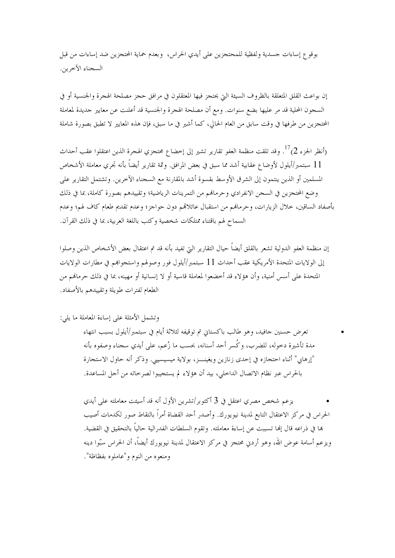بوقوع إساءات جسدية ولفظية للمحتجزين على أيدي الحراس، وبعدم حماية المحتجزين ضد إساءات من قبل السجناء الآخرين.

إن بواعث القلق المتعلقة بالظروف السيئة التي يحتجز فيها المعتقلون في مرافق حجز مصلحة الهجرة والجنسية أو في السجون المحلية قد مر عليها بضع سنوات. ومع أن مصلحة الهجرة والجنسية قد أعلنت عن معايير جديدة لمعاملة المحتجزين من طرفها في وقت سابق من العام الحالي، كما أشير في ما سبق، فإن هذه المعايير لا تطبق بصورة شاملة

(أنظر الجزء 2)<sup>17</sup>. وقد تلقت منظمة العفو تقارير تشير إلى إخضاع محتجزي الهجرة الذين اعتقلوا عقب أحداث 11 سبتمبر/أيلول لأوضاع عقابية أشد مما سبق في بعض المرافق. وثمة تقارير أيضاً بأنه تجري معاملة الأشخاص المسلمين أو الذين ينتمون إلى الشرق الأوسط بقسوة أشد بالمقارنة مع السجناء الآخرين. وتشتمل التقارير على وضع المحتجزين في السجن الانفرادي وحرمالهم من التمرينات الرياضية؛ وتقييدهم بصورة كاملة، بما في ذلك بأصفاد الساقين، حلال الزيارات، وحرمالهم من استقبال عائلاقمم دون حواجز؛ وعدم تقديم طعام كاف لهم؛ وعدم السماح لهم باقتناء ممتلكات شخصية وكتب باللغة العربية، بما في ذلك القرآن.

إن منظمة العفو الدولية تشعر بالقلق أيضاً حيال التقارير التي تفيد بأنه قد تم اعتقال بعض الأشخاص الذين وصلوا إلى الولايات المتحدة الأمريكية عقب أحداث 11 سبتمبر/أيلول فور وصولهم واستجواهم في مطارات الولايات المتحدة على أسس أمنية، وأن هؤلاء قد أخضعوا لمعاملة قاسية أو لا إنسانية أو مهينه، بما في ذلك حرمالهم من الطعام لفترات طويلة وتقييدهم بالأصفاد.

وتشمل الأمثلة على إساءة المعاملة ما يلي:

تعرض حسنين حافيد، وهو طالب باكستاني تم توقيفه لثلاثة أيام في سبتمبر/أيلول بسبب انتهاء مدة تأشيرة دحوله، للضرب، وكُسر أحد أسنانه، بحسب ما زُعم، على أيدي سجناء وصفوه بأنه "إرهابي" أثناء احتجازه في إحدى زنازين ويغينـــز، بولاية ميسيسيبي. وذكر أنه حاول الاستجارة بالحراس عبر نظام الاتصال الداحلي، بيد أن هؤ لاء لم يستجيبوا لصر حاته من أجل المساعدة.

يزعم شخص مصري اعتقل في 3 أكتوبر/تشرين الأول أنه قد أسيئت معاملته على أيدي الحراس في مركز الاعتقال التابع لمدينة نيويورك. وأصدر أحد القضاة أمراً بالتقاط صور لكدمات أصيب ها في ذراعه قال إنما تسببت عن إساءة معاملته. وتقوم السلطات الفدرالية حالياً بالتحقيق في القضية. ويزعم أسامة عوض الله، وهو أردني محتجز في مركز الاعتقال لمدينة نيويورك أيضاً، أن الحراس سبَّوا دينه ومنعوه من النوم و"عاملوه بفظاظة".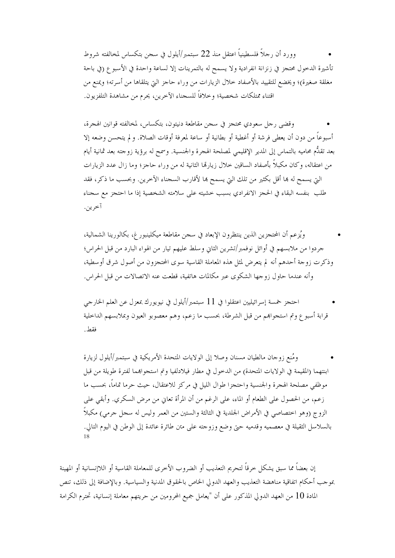وورد أن رجلاً فلسطينياً اعتقل منذ 22 سبتمبر/أيلول في سجن بتكساس لمخالفته شروط تأشيرة الدخول محتجز في زنزانة انفرادية ولا يسمح له بالتمرينات إلا لساعة واحدة في الأسبوع (في باحة مغلقة صغيرة)؛ ويخضع للتقييد بالأصفاد حلال الزيارات من وراء حاجز التي يتلقاها من أسرته؛ ويمنع من اقتناء ممتلكات شخصية؛ وخلافاً للسجناء الآخرين، يحرم من مشاهدة التلفزيون.

وقضي رجل سعودي محتجز في سجن مقاطعة دنيتون، بتكساس، لمخالفته قوانين الهجرة، أسبوعاً من دون أن يعطي فرشة أو أغطية أو بطانية أو ساعة لمعرفة أوقات الصلاة. و لم يتحسن وضعه إلا بعد تقلُّم محاميه بالتماس إلى المدير الإقليمي لمصلحة الهجرة والجنسية. وسمح له برؤية زوجته بعد ثمانية أيام من اعتقاله، وكان مكبلاً بأصفاد الساقين خلال زيارتما الثانية له من وراء حاجز؛ وما زال عدد الزيارات التي يسمح له بما أقل بكثير من تلك التي يسمح بما لأقارب السجناء الآخرين. وبحسب ما ذكر، فقد طلب بنفسه البقاء في الحجز الانفرادي بسبب خشيته على سلامته الشخصية إذا ما احتجز مع سجناء آخرين.

ويُزعم أن المحتجزين الذين ينتظرون الإبعاد في سجن مقاطعة ميكلينبور غ، بكالورينا الشمالية، جردوا من ملابسهم في أوائل نوفمبر/تشرين الثاني وسلط عليهم تيار من الهواء البارد من قبل الحراس؛ وذكرت زوجة أحدهم أنه لم يتعرض لمثل هذه المعاملة القاسية سوى المحتجزون من أصول شرق أوسطية، وأنه عندما حاول زوجها الشكوى عبر مكالمات هاتفية، قطعت عنه الاتصالات من قبل الحراس.

احتجز خمسة إسرائيليين اعتقلوا في 11 سبتمبر/أيلول في نيويورك بمعزل عن العلم الخارجي قرابة أسبوع وتم استجواهِم من قبل الشرطة، بحسب ما زعم، وهم معصوبو العيون وبملابسهم الداحلية فقط.

ومُنع زوجان مالطيان مسنان وصلا إلى الولايات المتحدة الأمريكية في سبتمبر/أيلول لزيارة ابنتهما (المقيمة في الولايات المتحدة) من الدخول في مطار فيلادلفيا وتم استجوابهما لفترة طويلة من قبل موظفي مصلحة الهجرة والجنسية واحتجزا طوال الليل في مركز للاعتقال، حيث حرما تماماً، بحسب ما زعم، من الحصول على الطعام أو الماء، على الرغم من أن المرأة تعاني من مرض السكري. وأبقى على الزوج (وهو اختصاصي في الأمراض الجلدية في الثالثة والستين من العمر وليس له سجل جرمي) مكبلاً بالسلاسل الثقيلة في معصميه وقدميه حتى وضع وزوجته على متن طائرة عائدة إلى الوطن في اليوم التالي.

إن بعضاً مما سبق يشكل حرقاً لتحريم التعذيب أو الضروب الأخرى للمعاملة القاسية أو اللاإنسانية أو المهينة بموجب أحكام اتفاقية مناهضة التعذيب والعهد الدولي الخاص بالحقوق المدنية والسياسية. وبالإضافة إلى ذلك، تنص المادة 10 من العهد الدولي المذكور على أن "يعامل جميع المحرومين من حريتهم معاملة إنسانية، تحترم الكرامة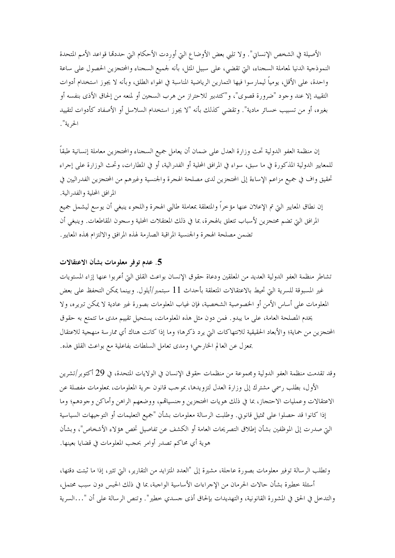الأصيلة في الشخص الإنساني". ولا تلبي بعض الأوضاع التي أوردت الأحكام التي حددقما قواعد الأمم المتحدة النموذجية الدنيا لمعاملة السجناء، التي تقضي، على سبيل المثل، بأنه لجميع السجناء والمختجزين الحصول على ساعة واحدة، على الأقل، يومياً ليمارسوا فيها التمارين الرياضية المناسبة في الهواء الطلق، وبأنه لا يجوز استخدام أدوات التقييد إلا عند وجود "ضرورة قصوى"، و"كتدبير للاحتراز من هرب السجين أو لمنعه من إلحاق الأذى بنفسه أو بغيره، أو من تسبيب حسائر مادية". وتقضى كذلك بأنه "لا يجوز استخدام السلاسل أو الأصفاد كأدوات لتقييد الحرية".

إن منظمة العفو الدولية تحث وزارة العدل على ضمان أن يعامل جميع السحناء والمحتجزين معاملة إنسانية طبقاً للمعايير الدولية المذكورة في ما سبق، سواء في المرافق المحلية أو الفدرالية، أو في المطارات، وتحت الوزارة على إجراء تحقيق واف في جميع مزاعم الإساءة إلى المحتجزين لدى مصلحة الهجرة والجنسية وغيرهم من المحتجزين الفدراليين في المرافق المحلية والفدرالية.

إن نطاق المعايير التي تم الإعلان عنها مؤخراً والمتعلقة بمعاملة طالبي الهجرة واللجوء ينبغي أن يوسع ليشمل جميع المرافق التي تضم محتجزين لأسباب تتعلق بالهجرة، بما في ذلك المعتقلات المحلية وسجون المقاطعات. وينبغي أن تضمن مصلحة الهجرة والجنسية المراقبة الصارمة لهذه المرافق والالتزام بمذه المعايير.

# 5. عدم توفر معلومات بشأن الاعتقالات

تشاطر منظمة العفو الدولية العديد من المعلقين ودعاة حقوق الإنسان بواعث القلق التي أعربوا عنها إزاء المستويات غير المسبوقة للسرية التي تحيط بالاعتقالات المتعلقة بأحداث 11 سبتمبر/أيلول. وبينما يمكن التحفظ على بعض المعلومات على أساس الأمن أو الخصوصية الشخصية، فإن غياب المعلومات بصورة غير عادية لا يمكن تبريره، ولا يخدم المصلحة العامة، على ما يبدو ٍ. فمن دون مثل هذه المعلومات، يستحيل تقييم مدى ما تتمتع به حقوق المحتجزين من حماية؛ والأبعاد الحقيقية للانتهاكات التي يرد ذكرها؛ وما إذا كانت هناك أي ممارسة منهجية للاعتقال بمعزل عن العالم الخارجي؛ ومدى تعامل السلطات بفاعلية مع بواعث القلق هذه.

وقد تقدمت منظمة العفو الدولية ومجموعة من منظمات حقوق الإنسان في الولايات المتحدة، في 29 أكتوبر/تشرين الأول، بطلب رسمي مشترك إلى وزارة العدل لتزويدها، بموجب قانون حرية المعلومات، بمعلومات مفصلة عن الاعتقالات وعمليات الاحتجاز، بما في ذلك هويات المحتجزين وحنسياقم، ووضعهم الراهن وأماكن وجودهم؛ وما إذا كانوا قد حصلوا على تمثيل قانوين. وطلبت الرسالة معلومات بشأن "جميع التعليمات أو التوجيهات السياسية التي صدرت إلى الموظفين بشأن إطلاق التصريحات العامة أو الكشف عن تفاصيل تخص هؤلاء الأشخاص"، وبشأن هوية أي محاكم تصدر أوامر بحجب المعلومات في قضايا بعينها.

وتطلب الرسالة توفير معلومات بصورة عاجلة، مشيرة إلى "العدد المتزايد من التقارير، التي تثير، إذا ما ثبتت دقتها، أسئلة خطيرة بشأن حالات الحرمان من الإجراءات الأساسية الواجبة، بما في ذلك الحبس دون سبب محتمل، والتدخل في الحق في المشورة القانونية، والتهديدات بإلحاق أذى جسدى خطير". وتنص الرسالة على أن "…السرية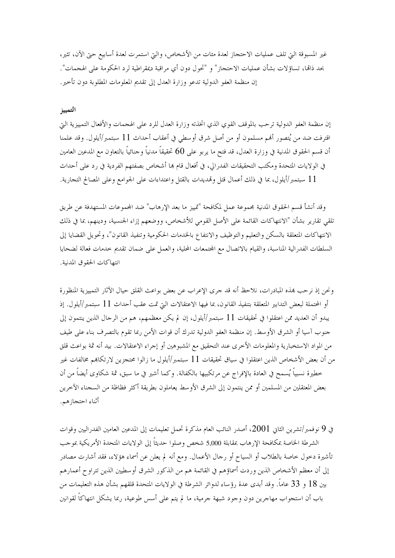غير المسبوقة التي تلف عمليات الاحتجاز لعدة مئات من الأشخاص، والتي استمرت لعدة أسابيع حتى الآن، تثير، بحد ذامًا، تساؤلات بشأن عمليات الاحتجاز" و "تحول دون أي مراقبة ديمقراطية لرد الحكومة على الهجمات". إن منظمة العفو الدولية تدعو وزارة العدل إلى تقديم المعلومات المطلوبة دون تأخير.

### التمييز

إن منظمة العفو الدولية ترحب بالموقف القوي الذي اتخذته وزارة العدل للرد على الهجمات والأفعال التمييزية التي اقترفت ضد من يُتصور أُهُم مسلمون أو من أصل شرق أوسطى في أعقاب أحداث 11 سبتمبر/أيلول. وقد علمنا أن قسم الحقوق المدنية في وزارة العدل، قد فتح ما يربو على 60 تحقيقاً مدنياً وحنائياً بالتعاون مع المدعين العامين في الولايات المتحدة ومكتب التحقيقات الفدرالي، في أفعال قام ها أشخاص بصفتهم الفردية في رد على أحداث 11 سبتمبر/أيلول، بما في ذلك أعمال قتل وتمديدات بالقتل واعتداءات على الجوامع وعلى المصالح التجارية.

وقد أنشأ قسم الحقوق المدنية مجموعة عمل لمكافحة "تمييز ما بعد الإرهاب" ضد المحموعات المستهدفة عن طريق تلقى تقارير بشأن "الانتهاكات القائمة على الأصل القومي للأشخاص، ووضعهم إزاء الجنسية، ودينهم، بما في ذلك الانتهاكات المتعلقة بالسكن والتعليم والتوظيف والانتفاع بالخدمات الحكومية وتنفيذ القانون"، وتحويل القضايا إلى السلطات الفدرالية المناسبة، والقيام بالاتصال مع المحتمعات المحلية، والعمل على ضمان تقديم حدمات فعالة لضحايا انتهاكات الحقوق المدنية.

ونحن إذ نرحب هذه المبادرات، نلاحظ أنه قد حرى الإعراب عن بعض بواعث القلق حيال الآثار التمييزية المنظورة أو المحتملة لبعض التدابير المتعلقة بتنفيذ القانون، بما فيها الاعتقالات التي تمت عقب أحداث 11 سبتمبر/أيلول. إذ يبدو أن العديد ممن اعتقلوا في تحقيقات 11 سبتمبر/أيلول، إن لم يكن معظمهم، هم من الرحال الذين ينتمون إلى جنوب آسيا أو الشرق الأوسط. إن منظمة العفو الدولية تدرك أن قوات الأمن ربما تقوم بالتصرف بناء على طيف من المواد الاستخبارية والمعلومات الأخرى عند التحقيق مع المشبوهين أو إجراء الاعتقالات. بيد أنه ثمة بواعث قلق من أن بعض الأشخاص الذين اعتقلوا في سياق تحقيقات 11 سبتمبر/أيلول ما زالوا محتجزين لارتكاهم مخالفات غير خطيرة نسبياً يُسمح في العادة بالإفراج عن مرتكبيها بالكفالة. وكما أشير في ما سبق، ثمة شكاوى أيضاً من أن بعض المعتقلين من المسلمين أو ممن ينتمون إلى الشرق الأوسط يعاملون بطريقة أكثر فظاظة من السجناء الآخرين أثناء احتجازهم.

في 9 نوفمبر/تشرين الثاني 2001، أصدر النائب العام مذكرة تحمل تعليمات إلى المدعين العامين الفدراليين وقوات الشرطة الخاصة بمكافحة الإرهاب بمقابلة 5,000 شخص وصلوا حديثاً إلى الولايات المتحدة الأمريكية بموجب تأشيرة دحول حاصة بالطلاب أو السياح أو رحال الأعمال. ومع أنه لم يعلن عن أسماء هؤلاء، فقد أشارت مصادر إلى أن معظم الأشخاص الذين وردت أسماؤهم في القائمة هم من الذكور الشرق أوسطيين الذين تتراوح أعمارهم بين 18 و 33 عاماً. وقد أبدى عدة رؤساء لدوائر الشرطة في الولايات المتحدة قلقهم بشأن هذه التعليمات من باب أن استجواب مهاجرين دون وجود شبهة جرمية، ما لم يتم على أسس طوعية، ربما يشكل انتهاكاً لقوانين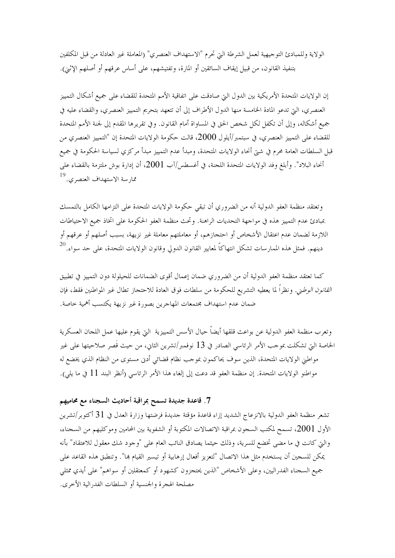الولاية وللمبادئ التوجيهية لعمل الشرطة التي تحرم "الاستهداف العنصري" (المعاملة غير العادلة من قبل المكلفين بتنفيذ القانون، من قبيل إيقاف السائقين أو المارة، وتفتيشهم، على أساس عرقهم أو أصلهم الإثني).

إن الولايات المتحدة الأمريكية بين الدول التي صادقت على اتفاقية الأمم المتحدة للقضاء على جميع أشكال التمييز العنصري، التي تدعو المادة الخامسة منها الدول الأطراف إلى أن تتعهد بتحريم التمييز العنصري، والقضاء عليه في جميع أشكاله، وإلى أن تكفل لكل شخص الحق في المساواة أمام القانون. وفي تقريرها المقدم إلى لجنة الأمم المتحدة للقضاء على التمييز العنصري، في سبتمبر/أيلول 2000، قالت حكومة الولايات المتحدة إن "التمييز العنصري من قبل السلطات العامة محرم في شتى أنحاء الولايات المتحدة، ومبدأ عدم التمييز مبدأ مركزي لسياسة الحكومة في جميع أنحاء البلاد". وأبلغ وفد الولايات المتحدة اللجنة، في أغسطس/آب 2001، أن إدارة بوش ملتزمة بالقضاء على ممار سة الاستهداف العنصري. <sup>19</sup>

وتعتقد منظمة العفو الدولية أنه من الضروري أن تبقى حكومة الولايات المتحدة على التزامها الكامل بالتمسك بمبادئ عدم التمييز هذه في مواجهة التحديات الراهنة. وتحث منظمة العفو الحكومة على اتخاذ جميع الاحتياطات اللازمة لضمان عدم اعتقال الأشخاص أو احتجازهم، أو معاملتهم معاملة غير نزيهة، بسبب أصلهم أو عرقهم أو دينهم. فمثل هذه الممارسات تشكل انتهاكاً لمعايير القانون الدولي وقانون الولايات المتحدة، على حد سواء.<sup>20</sup>

كما تعتقد منظمة العفو الدولية أن من الضروري ضمان إعمال أقوى الضمانات للحيلولة دون التمييز في تطبيق *القانون الوط*ني. ونظراً لما يعطيه التشريع للحكومة من سلطات فوق العادة للاحتجاز تطال غير المواطنين فقط، فإن ضمان عدم استهداف محتمعات المهاجرين بصورة غير نزيهة يكتسب أهمية خاصة.

وتعرب منظمة العفو الدولية عن بواعث قلقها أيضاً حيال الأسس التمييزية التي يقوم عليها عمل اللجان العسكرية الخاصة التي تشكلت بموجب الأمر الرئاسي الصادر في 13 نوفمبر/تشرين الثاني، من حيث قَصر صلاحيتها على غير مواطني الولايات المتحدة، الذين سوف يحاكمون بموجب نظام قضائي أدني مستوى من النظام الذي يخضع له مواطنو الولايات المتحدة. إن منظمة العفو قد دعت إلى إلغاء هذا الأمر الرئاسي (أنظر البند 11 في ما يلي).

# 7. قاعدة جديدة تسمح بمراقبة أحاديث السجناء مع محاميهم

تشعر منظمة العفو الدولية بالانزعاج الشديد إزاء قاعدة مؤقتة جديدة فرضتها وزارة العدل في 31 أكتوبر/تشرين الأول 2001، تسمح لمكتب السحون بمراقبة الاتصالات المكتوبة أو الشفوية بين المحامين وموكليهم من السحناء، والتي كانت في ما مضي تخضع للسرية، وذلك حيثما يصادق النائب العام على "وجود شك معقول للاعتقاد" بأنه يمكن للسجين أن يستخدم مثل هذا الاتصال "لتعزيز أفعال إرهابية أو تيسير القيام ها". وتنطبق هذه القاعد على جميع السجناء الفدراليين، وعلى الأشخاص "الذين يحتجزون كشهود أو كمعتقلين أو سواهم" على أيدي ممثلي مصلحة الهجرة والجنسية أو السلطات الفدرالية الأخرى.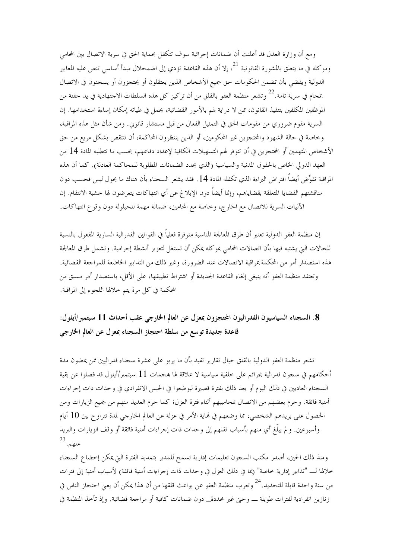ومع أن وزارة العدل قد أعلنت أن ضمانات إجرائية سوف تتكفل بحماية الحق في سرية الاتصال بين المحامي وموكله في ما يتعلق بالمشورة القانونية <sup>21</sup>، إلا أن هذه القاعدة تؤدي إلى اضمحلال مبدأ أساسى تنص عليه المعايير الدولية ويقضى بأن تضمن الحكومات حق جميع الأشخاص الذين يعتقلون أو يحتجزون أو يسجنون في الاتصال بمحام في سرية تامة.<sup>22</sup> وتشعر منظمة العفو بالقلق من أن تركيز كل هذه السلطات الاجتهادية في يد حفنة من الموظفين المكلفين بتنفيذ القانون، ممن لا دراية لهم بالأمور القضائية، يحمل في طياته إمكان إساءة استخدامها. إن السرية مقوم ضروري من مقومات الحق في التمثيل الفعال من قبل مستشار قانوين. ومن شأن مثل هذه المراقبة، وخاصة في حالة الشهود والمحتجزين غير المحكومين، أو الذين ينتظرون المحاكمة، أن تنتقص بشكل مريع من حق الأشخاص المتهمين أو المحتجزين في أن تتوفر لهم التسهيلات الكافية لإعداد دفاعهم، بحسب ما تتطلبه المادة 14 من العهد الدو لي الخاص بالحقوق المدنية والسياسية (الذي يحدد الضمانات المطلوبة للمحاكمة العادلة). كما أن هذه المراقبة تقوِّض أيضاً افتراض البراءة الذي تكفله المادة 14. فقد يشعر السجناء بأن هناك ما يحول ليس فحسب دون مناقشتهم القضايا المتعلقة بقضاياهم، وإنما أيضاً دون الإبلاغ عن أي انتهاكات يتعرضون لها حشية الانتقام. إن الآليات السرية للاتصال مع الخارج، وخاصة مع المحامين، ضمانة مهمة للحيلولة دون وقوع انتهاكات.

إن منظمة العفو الدولية تعتبر أن طرق المعالجة المناسبة متوفرة فعلياً في القوانين الفدرالية السارية المفعول بالنسبة للحالات التي يشتبه فيها بأن اتصالات المحامي بموكله يمكن أن تستغل لتعزيز أنشطة إجرامية. وتشمل طرق المعالجة هذه استصدار أمر من المحكمة بمراقبة الاتصالات عند الضرورة، وغير ذلك من التدابير الخاضعة للمراجعة القضائية. وتعتقد منظمة العفو أنه ينبغي إلغاء القاعدة الجديدة أو اشتراط تطبيقها، على الأقل، باستصدار أمر مسبق من المحكمة في كلِّ مرة يتم خلالها اللجوء إلى المراقبة.

8. السجناء السياسيون الفدراليون المحتجزون بمعزل عن العالم الخارجي عقب أحداث 11 سبتمبر/أيلول: قاعدة جديدة توسع من سلطة احتجاز السجناء بمعزل عن العالم الخارجي

تشعر منظمة العفو الدولية بالقلق حيال تقارير تفيد بأن ما يربو على عشرة سجناء فدراليين ممن يمضون مدة أحكامهم في سجون فدرالية بجرائم على خلفية سياسية لا علاقة لها بمحمات 11 سبتمبر/أيلول قد فصلوا عن بقية السجناء العاديين في ذلك اليوم أو بعد ذلك بفترة قصيرة ليوضعوا في الحبس الانفرادي في وحدات ذات إجراءات أمنية فائقة. وحرم بعضهم من الاتصال بمحامييهم أثناء فترة العزل؛ كما حرم العديد منهم من جميع الزيارات ومن الحصول على بريدهم الشخصي، مما وضعهم في نماية الأمر في عزلة عن العالم الخارجي لمدة تتراوح بين 10 أيام وأسبوعين. ولم يبلَّغ أي منهم بأسباب نقلهم إلى وحدات ذات إجراءات أمنية فائقة أو وقف الزيارات والبريد 23.

ومنذ ذلك الحين، أصدر مكتب السجون تعليمات إدارية تسمح للمدير بتمديد الفترة التي يمكن إحضاع السجناء خلالها لـــ "تدابير إدارية خاصة" (بما في ذلك العزل في وحدات ذات إجراءات أمنية فائقة) لأسباب أمنية إلى فترات من سنة واحدة قابلة للتجديد.<sup>24</sup> وتعرب منظمة العفو عن بواعث قلقها من أن هذا يمكن أن يعني احتجاز الناس في زنازين انفرادية لفترات طويلة ـ وحيّ غير محددة\_ دون ضمانات كافية أو مراجعة قضائية. وإذ تأخذ المنظمة في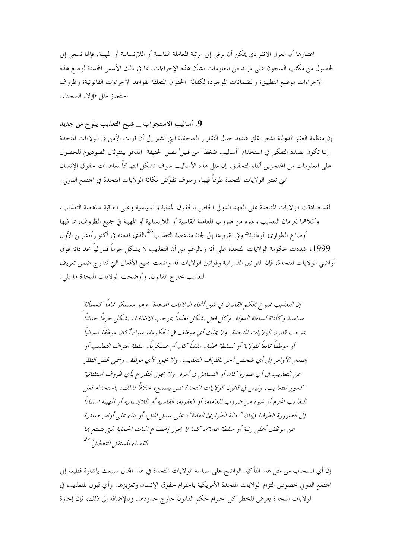اعتبارها أن العزل الانفرادي يمكن أن يرقى إلى مرتبة المعاملة القاسية أو اللاإنسانية أو المهينة، فإنها تسعى إلى الحصول من مكتب السجون على مزيد من المعلومات بشأن هذه الإجراءات، بما في ذلك الأسس المحددة لوضع هذه الإحراءات موضع التطبيق؛ والضمانات الموحودة لكفالة ۖ الحقوق المتعلقة بقواعد الإحراءات القانونية؛ وظروف احتجاز مثل هؤلاء السجناء.

### 9. أساليب الاستجواب \_ شبح التعذيب يلوح من جديد

إن منظمة العفو الدولية تشعر بقلق شديد حيال التقارير الصحفية التي تشير إلى أن قوات الأمن في الولايات المتحدة ربما تكون بصدد التفكير في استخدام "أساليب ضغط" من قبيل"مصل الحقيقة" المدعو بينتوثال الصوديوم للحصول على المعلومات من المحتجزين أثناء التحقيق. إن مثل هذه الأساليب سوف تشكل انتهاكاً لمعاهدات حقوق الإنسان التي تعتبر الولايات المتحدة طرفاً فيها، وسوف تقوِّض مكانة الولايات المتحدة في المحتمع الدولي.

لقد صادقت الولايات المتحدة على العهد الدولي الخاص بالحقوق المدنية والسياسية وعلى اتفاقية مناهضة التعذيب، وكلاهما يحرمان التعذيب وغيره من ضروب المعاملة القاسية أو اللاإنسانية أو المهينة في جميع الظروف، بما فيها أوضاع الطوارئ الوطنية<sup>25</sup>وفي تقريرها إلى لجنة مناهضة التعذيب<sup>26</sup>،الذي قدمته في أكتوبر/تشرين الأول 1999، شددت حكومة الولايات المتحدة على أنه وبالرغم من أن التعذيب لا يشكل جرماً فدرالياً بحد ذاته فوق أراضي الولايات المتحدة، فإن القوانين الفدرالية وقوانين الولايات قد وضعت جميع الأفعال التي تندرج ضمن تعريف التعذيب حارج القانون. وأوضحت الولايات المتحدة ما يلي:

إن التعذيب ممنوع بحكم القانون في شتى أنحاء الولايات المتحدة. وهو مستنكر تماماً كمسألة سياسية وكأداة لسلطة اللهولة. وكل فعل يشكل تعذيباً بموجب الاتفاقية، يشكل جرماً جنائياً بموجب قانون الولايات المتحلة. ولا يملك أي موظف في الحكومة، سواء أكان موظفاً فدرالياً أو موظفاً تابعاً للولاية أو لسلطة محلية، مدنياً كان أم عسكرياً، سلطة اقتراف التعذيب أو إصدار الأوامر إلى أي شخص آحر باقتراف التعذيب. ولا يجوز لأي موظف رسمي غض النظر عن التعليب في أي صورة كان أو التساهل في أمره. ولا يجوز التذرع بأي ظروف استثنائية كمبرر للتعذيب. وليس في قانون الولايات المتحدة نص يسمح، خلافاً لذلك، باستخدام فعل التعليب المحرم أو غيره من ضروب المعاملة، أو العقوبة، القاسية أو اللاإنسانية أو المهينة استنادًا إلى الضرورة الظرفية (إبان " حالة الطوارئ العامة" ، علي سبيل المثل، أو يناء علي أوامر صادرة عن موظف أعلى رتبة أو سلطة عامة)، كما لا يجوز إحضاع آليات الحماية التي يتمتع 1⁄4 الفضاء المستقل للتعطيل" <sup>27</sup>

إن أي انسحاب من مثل هذا التأكيد الواضح على سياسة الولايات المتحدة في هذا المحال سيبعث بإشارة فظيعة إلى المحتمع الدولي بخصوص التزام الولايات المتحدة الأمريكية باحترام حقوق الإنسان وتعزيزها. وأي قبول للتعذيب في الولايات المتحدة يعرض للخطر كل احترام لحكم القانون خارج حدودها. وبالإضافة إلى ذلك، فإن إجازة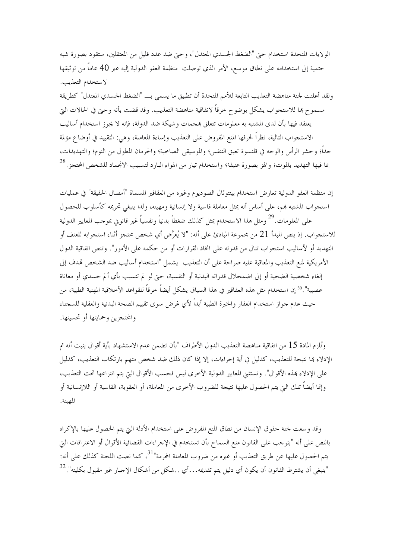الولايات المتحدة استخدام حتى "الضغط الجسدي المعتدل"، وحتى ضد عدد قليل من المعتقلين، ستقود بصورة شبه حتمية إلى استخدامه على نطاق موسع، الأمر الذي توصلت منظمة العفو الدولية إليه عبر 40 عاماً من توثيقها لاستخدام التعذيب.

ولقد أعلنت لجنة مناهضة التعذيب التابعة للأمم المتحدة أن تطبيق ما يسمى بـــ "الضغط الجسدي المعتدل" كطريقة مسموح ها للاستجواب يشكل بوضوح حرقاً لاتفاقية مناهضة التعذيب. وقد قضت بأنه وحتى في الحالات التي يعتقد فيها بأن لدى المشتبه به معلومات تتعلق بمجمات وشيكة ضد الدولة، فإنه لا يجوز استخدام أساليب الاستحواب التالية، نظراً لخرقها المنع المفروض على التعذيب وإساءة المعاملة، وهي: التقييد في أوضا ع مؤلمة جداً؛ وحشر الرأس والوجه في قلنسوة تعيق التنفس؛ والموسيقى الصاحبة؛ والحرمان المطول من النوم؛ والتهديدات، بما فيها التهديد بالموت؛ والهز بصورة عنيفة؛ واستخدام تيار من الهواء البارد لتسبيب الانجماد للشخص المحتجز .<sup>28</sup>

إن منظمة العفو الدولية تعارض استخدام بينتوثال الصوديوم وغيره من العقاقير المسماة "أمصال الحقيقة" في عمليات استجواب المشتبه هم، على أساس أنه يمثل معاملة قاسية ولا إنسانية ومهينه، ولذا ينبغي تحريمه كأسلوب للحصول على المعلومات.<sup>29</sup> ومثل هذا الاستخدام يمثل كذلك ضغطاً بدنياً ونفسياً غير قانوني بموحب المعايير الدولية للاستجواب. إذ ينص المبدأ 21 من بحموعة المبادئ على أنه: "لا يُعرَّض أي شخص محتجز أثناء استجوابه للعنف أو التهديد أو لأساليب استجواب تنال من قدرته على اتخاذ القرارات أو من حكمه على الأمور". وتنص اتفاقية الدول الأمريكية لمنع التعذيب والمعاقبة عليه صراحة على أن التعذيب يشمل "استخدام أساليب ضد الشخص قمدف إلى إلغاء شخصية الضحية أو إلى اضمحلال قدراته البدنية أو النفسية، حتى لو لم تتسبب بأي ألم حسدي أو معاناة عصبية".<sup>30</sup>إن استخدام مثل هذه العقاقير في هذا السياق يشكل أيضاً حرقاً للقواعد الأحلاقية المهنية الطبية، من حيث عدم جواز استخدام العقار والخبرة الطبية أبداً لأي غرض سوى تقييم الصحة البدنية والعقلية للسجناء والمحتجزين وحمايتها أو تحسينها.

وتُلزِم المادة 15 من اتفاقية مناهضة التعذيب الدول الأطراف "بأن تضمن عدم الاستشهاد بأية أقوال يثبت أنه تم الإدلاء ها نتيجة للتعذيب، كدليل في أية إجراءات، إلا إذا كان ذلك ضد شخص متهم بارتكاب التعذيب، كدليل على الإدلاء بمذه الأقوال". وتستثني المعايير الدولية الأخرى ليس فحسب الأقوال التي يتم انتزاعها تحت التعذيب، وإنما أيضاً تلك التي يتم الحصول عليها نتيجة للضروب الأخرى من المعاملة، أو العقوبة، القاسية أو اللاإنسانية أو المهينة.

وقد وسعت لجنة حقوق الإنسان من نطاق المنع المفروض على استخدام الأدلة التي يتم الحصول عليها بالإكراه بالنص على أنه "يتوجب على القانون منع السماح بأن تستخدم في الإجراءات القضائية الأقوال أو الاعترافات التي يتم الحصول عليها عن طريق التعذيب أو غيره من ضروب المعاملة المحرمة"<sup>31</sup>، كما نصت اللجنة كذلك على أنه: "ينبغي أن يشترط القانون أن يكون أي دليل يتم تقديمه…أي …شكل من أشكال الإحبار غير مقبول بكليته". $^{32}$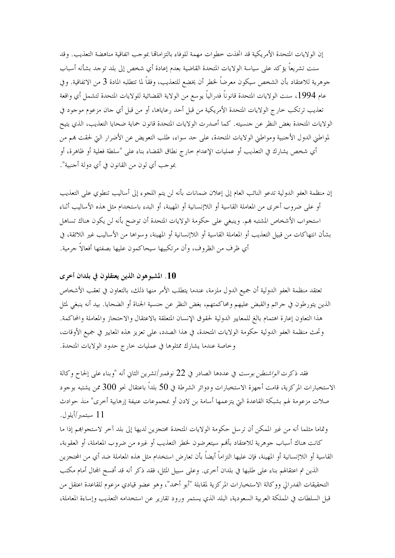إن الولايات المتحدة الأمريكية قد اتخذت خطوات مهمة للوفاء بالتزاماتها بموجب اتفاقية مناهضة التعذيب. وقد سنت تشريعاً يؤكد على سياسة الولايات المتحدة القاضية بعدم إعادة أي شخص إلى بلد توحد بشأنه أسباب جوهرية للاعتقاد بأن الشخص سيكون معرضاً لخطر أن يخضع للتعذيب، وفقاً لما تتطلبه المادة 3 من الاتفاقية. وفي عام 1994، سنت الولايات المتحدة قانوناً فدرالياً يوسع من الولاية القضائية للولايات المتحدة لتشمل أي واقعة تعذيب ترتكب حارج الولايات المتحدة الأمريكية من قبل أحد رعاياها، أو من قبل أي حان مزعوم موجود في الولايات المتحدة بغض النظر عن جنسيته. كما أصدرت الولايات المتحدة قانون حماية ضحايا التعذيب، الذي يتيح لمواطني الدول الأحنبية ومواطني الولايات المتحدة، على حد سواء، طلب التعويض عن الأضرار التي لحقت بمم من أي شخص يشارك في التعذيب أو عمليات الإعدام خارج نطاق القضاء بناء على "سلطة فعلية أو ظاهرة، أو بموجب أي لون من القانون في أي دولة أجنبية".

إن منظمة العفو الدولية تدعو النائب العام إلى إعلان ضمانات بأنه لن يتم اللجوء إلى أساليب تنطوي على التعذيب أو على ضروب أخرى من المعاملة القاسية أو اللاإنسانية أو المهينة، أو البدء باستخدام مثل هذه الأساليب أثناء استجواب الأشخاص المشتبه هم. وينبغي على حكومة الولايات المتحدة أن توضح بأنه لن يكون هناك تساهل بشأن انتهاكات من قبيل التعذيب أو المعاملة القاسية أو اللاإنسانية أو المهينة، وسواها من الأساليب غير اللائقة، في أي ظرف من الظروف، وأن مرتكبيها سيحاكمون عليها بصفتها أفعالاً جرمية.

### 10. المشبوهون الذين يعتقلون في بلدان أخرى

تعتقد منظمة العفو الدولية أن جميع الدول ملزمة، عندما يتطلب الأمر منها ذلك، بالتعاون في تعقب الأشخاص الذين يتورطون في جرائم والقبض عليهم ومحاكمتهم، بغض النظر عن جنسية الجناة أو الضحايا. بيد أنه ينبغي لمثل هذا التعاون إعارة اهتمام بالغ للمعايير الدولية لحقوق الإنسان المتعلقة بالاعتقال والاحتجاز والمعاملة والمحاكمة. وتحتْ منظمة العفو الدولية حكومة الولايات المتحدة، في هذا الصدد، على تعزيز هذه المعايير في جميع الأوقات، وخاصة عندما يشارك ممثلوها في عمليات حارج حدود الولايات المتحدة.

فقد ذكرت *الواشنطن بوست* في عددها الصادر في 22 نوفمبر/تشرين الثاني أنه "وبناء على إلحاح وكالة الاستخبارات المركزية، قامت أجهزة الاستخبارات ودوائر الشرطة في 50 بلداً باعتقال نحو 300 ممن يشتبه بوجود صلات مزعومة لهم بشبكة القاعدة التي يتزعمها أسامة بن لادن أو بمجموعات عنيفة إرهابية أخرى" منذ حوادث 11 سبتمبر/أيلول.

وتماما مثلما أنه من غير الممكن أن ترسل حكومة الولايات المتحدة محتجزين لديها إلى بلد آخر لاستجواهم إذا ما كانت هناك أسباب جوهرية للاعتقاد بألهم سيتعرضون لخطر التعذيب أو غيره من ضروب المعاملة، أو العقوبة، القاسية أو اللاإنسانية أو المهينة، فإن عليها التزاماً أيضاً بأن تعارض استخدام مثل هذه المعاملة ضد أي من المحتجزين الذين تم اعتقالهم بناء على طلبها في بلدان أخرى. وعلى سبيل المثل، فقد ذكر أنه قد أفسح المحال أمام مكتب التحقيقات الفدرالي ووكالة الاستخبارات المركزية لمقابلة "أبو أحمد"، وهو عضو قيادي مزعوم للقاعدة اعتقل من قبل السلطات في المملكة العربية السعودية، البلد الذي يستمر ورود تقارير عن استخدامه التعذيب وإساءة المعاملة،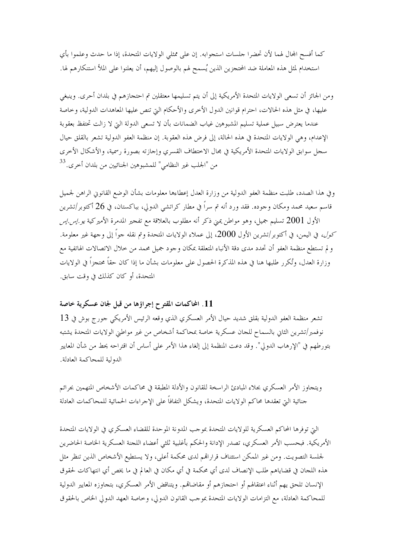كما أفسح المحال لهما لأن تحضرا حلسات استجوابه. إن على ممثلي الولايات المتحدة، إذا ما حدث وعلموا بأي استخدام لمثل هذه المعاملة ضد المحتجزين الذين يُسمح لهم بالوصول إليهم، أن يعلنوا على الملأ استنكارهم لها.

ومن الجائز أن تسعى الولايات المتحدة الأمريكية إلى أن يتم تسليمها معتقلين تم احتجازهم في بلدان أحرى. وينبغي عليها، في مثل هذه الحالات، احترام قوانين الدول الأخرى والأحكام التي تنص عليها المعاهدات الدولية، وخاصة عندما يعترض سبيل عملية تسليم المشبوهين غياب الضمانات بأن لا تسعى الدولة التي لا زالت تحتفظ بعقوبة الإعدام، وهي الولايات المتحدة في هذه الحالة، إلى فرض هذه العقوبة. إن منظمة العفو الدولية تشعر بالقلق حيال سجل سوابق الولايات المتحدة الأمريكية في مجال الاختطاف القسري وإجازته بصورة رسمية، والأشكال الأخرى من "الجلب غير النظامي" للمشبوهين الجنائيين من بلدان أخرى.<sup>33</sup>

وفي هذا الصدد، طلبت منظمة العفو الدولية من وزارة العدل إعطاءها معلومات بشأن الوضع القانوين الراهن لجميل قاسم سعيد محمد ومكان وجوده. فقد ورد أنه تم سراً في مطار كراتشي الدولي، بباكستان، في 26 أكتوبر/تشرين الأول 2001 تسليم جميل، وهو مواطن يمني ذكر أنه مطلوب بالعلاقة مع تفجير المدمرة الأميركية *يو إس إس* كول، في اليمن، في أكتوبر/تشرين الأول 2000، إلى عملاء الولايات المتحدة وتم نقله جواً إلى وجهة غير معلومة. و لم تستطع منظمة العفو أن تحدد مدى دقة الأنباء المتعلقة بمكان وجود جميل محمد من حلال الاتصالات الهاتفية مع وزارة العدل، وتُكرر طلبها هنا في هذه المذكرة الحصول على معلومات بشأن ما إذا كان حقاً محتجزاً في الولايات المتحدة، أو كان كذلك في وقت سابق.

# 11. المحاكمات المقترح إجراؤها من قبل لجان عسكرية خاصة

تشعر منظمة العفو الدولية بقلق شديد حيال الأمر العسكري الذي وقعه الرئيس الأمريكي جورج بوش في 13 نوفمبر/تشرين الثاني بالسماح للجان عسكرية خاصة بمحاكمة أشخاص من غير مواطني الولايات المتحدة يشتبه بتورطهم في "الإرهاب الدولي". وقد دعت المنظمة إلى إلغاء هذا الأمر على أساس أن اقتراحه يحط من شأن المعايير الدولية للمحاكمة العادلة.

ويتجاوز الأمر العسكري بجلاء المبادئ الراسخة للقانون والأدلة المطبقة في محاكمات الأشخاص المتهمين بجرائم جنائية التي تعقدها محاكم الولايات المتحدة، ويشكل التفافاً على الإجراءات الحمائية للمحاكمات العادلة

التي توفرها المحاكم العسكرية للولايات المتحدة بموحب المدونة الموحدة للقضاء العسكري في الولايات المتحدة الأمريكية. فبحسب الأمر العسكري، تصدر الإدانة والحكم بأغلبية ثلثي أعضاء اللجنة العسكرية الخاصة الحاضرين لجلسة التصويت. ومن غير الممكن استئناف قراراتهم لدى محكمة أعلى، ولا يستطيع الأشخاص الذين تنظر مثل هذه اللجان في قضاياهم طلب الإنصاف لدى أي محكمة في أي مكان في العالم في ما يخص أي انتهاكات لحقوق الإنسان تلحق يهم أثناء اعتقالهم أو احتجازهم أو مقاضاقم. ويتناقض الأمر العسكري، بتجاوزه المعايير الدولية للمحاكمة العادلة، مع التزامات الولايات المتحدة بموجب القانون الدولي، وخاصة العهد الدولي الخاص بالحقوق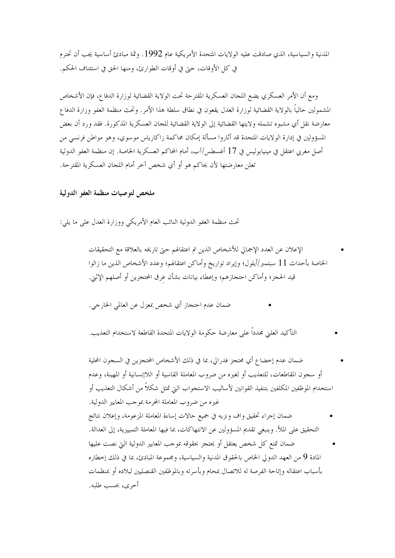المدنية والسياسية، الذي صادقت عليه الولايات المتحدة الأمريكية عام 1992. وثمة مبادئ أساسية يجب أن تحترم في كل الأوقات، حتى في أوقات الطوارئ، ومنها الحق في استئناف الحكم.

ومع أن الأمر العسكري يضع اللجان العسكرية المقترحة تحت الولاية القضائية لوزارة الدفاع، فإن الأشخاص المشمولين حالياً بالولاية القضائية لوزارة العدل يقعون في نطاق سلطة هذا الأمر. وتحث منظمة العفو وزارة الدفاع معارضة نقل أي مشبوه تشمله ولايتها القضائية إلى الولاية القضائية للجان العسكرية المذكورة. فقد ورد أن بعض المسؤولين في إدارة الولايات المتحدة قد أثاروا مسألة إمكان محاكمة زاكارياس موسوي، وهو مواطن فرنسي من أصل مغربي اعتقل في مينيابوليس في 17 أغسطس/آب، أمام المحاكم العسكرية الحاصة. إن منظمة العفو الدولية تعلن معارضتها لأن يحاكم هو أو أي شخص آخر أمام اللجان العسكرية المقترحة.

# ملخص لتوصيات منظمة العفو الدولية

تحت منظمة العفو الدولية النائب العام الأمريكي ووزارة العدل على ما يلي:

الإعلان عن العدد الإجمالي للأشخاص الذين تم اعتقالهم حتى تاريخه بالعلاقة مع التحقيقات الخاصة بأحداث 11 سبتمبر/أيلول؛ وإيراد تواريخ وأماكن اعتقالهم؛ وعدد الأشخاص الذين ما زالوا قيد الحجز؛ وأماكن احتجازهم؛ وإعطاء بيانات بشأن عرق المختجزين أو أصلهم الإثني.

ضمان عدم احتجاز أي شخص بمعزل عن العالمي الخارجي.

التأكيد العليي مجدداً على معارضة حكومة الولايات المتحدة القاطعة لاستخدام التعذيب.

ضمان عدم إحضاع أي محتجز فدرالي، بما في ذلك الأشخاص المحتجزين في السجون المحلية أو سجون المقاطعات، للتعذيب أو لغيره من ضروب المعاملة القاسية أو اللاإنسانية أو المهينة، وعدم استخدام الموظفين المكلفين بتنفيذ القوانين لأساليب الاستجواب التي تمثل شكلاً من أشكال التعذيب أو غيره من ضروب المعاملة المحرمة بموجب المعايير الدولية. ضمان إجراء تحقيق واف ونزيه في جميع حالات إساءة المعاملة المزعومة، وإعلان نتائج التحقيق على الملأ. وينبغي تقديم المسؤولين عن الانتهاكات، بما فيها المعاملة التمييزية، إلى العدالة. ضمان تمتع كل شخص يعتقل أو يحتجز بحقوقه بموجب المعايير الدولية التي نصت عليها المادة 9 من العهد الدولي الخاص بالحقوق المدنية والسياسية، ومجموعة المبادئ، بما في ذلك إخطاره بأسباب اعتقاله وإتاحة الفرصة له للاتصال بمحام وبأسرته وبالموظفين القنصليين لبلاده أو بمنظمات أخرى، بحسب طلبه.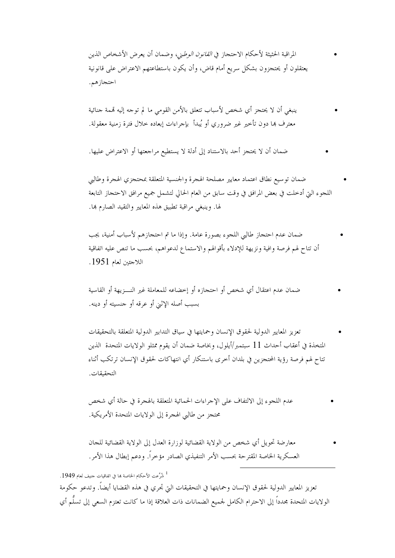المراقبة الحثيثة لأحكام الاحتجاز في *القانون الوطين*، وضمان أن يعرض الأشخاص الذين يعتقلون أو يحتجزون بشكل سريع أمام قاض، وأن يكون باستطاعتهم الاعتراض على قانونية احتجازهم.

ينبغي أن لا يحتجز أي شخص لأسباب تتعلق بالأمن القومي ما لم توجه إليه قممة جنائية معترف بما دون تأخير غير ضروري أو يُبدأ بإجراءات إبعاده حلال فترة زمنية معقولة.

ضمان أن لا يحتجز أحد بالاستناد إلى أدلة لا يستطيع مراجعتها أو الاعتراض عليها.

ضمان توسيع نطاق اعتماد معايير مصلحة الهجرة والجنسية المتعلقة بمحتجزي الهجرة وطالبي اللجوء التي أدخلت في بعض المرافق في وقت سابق من العام الحالي لتشمل جميع مرافق الاحتجاز التابعة لها. وينبغي مراقبة تطبيق هذه المعايير والتقيد الصارم بما.

ضمان عدم احتجاز طالبي اللجوء بصورة عامة. وإذا ما تم احتجازهم لأسباب أمنية، يجب أن تتاح لهم فرصة وافية ونزيهة للإدلاء بأقوالهم والاستماع لدعواهم، بحسب ما تنص عليه اتفاقية اللاحئين لعام 1951.

ضمان عدم اعتقال أي شخص أو احتجازه أو إخضاعه للمعاملة غير النـــزيهة أو القاسية بسبب أصله الإثني أو عرقه أو حنسيته أو دينه.

تعزيز المعايير الدولية لحقوق الإنسان وحمايتها في سياق التدابير الدولية المتعلقة بالتحقيقات المتخذة في أعقاب أحداث 11 سبتمبر/أيلول، وبخاصة ضمان أن يقوم ممثلو الولايات المتحدة الذين تتاح لهم فرصة رؤية المحتجزين في بلدان أخرى باستنكار أي انتهاكات لحقوق الإنسان ترتكب أثناء التحقيقات.

عدم اللجوء إلى الالتفاف على الإجراءات الحمائية المتعلقة بالهجرة في حالة أي شخص محتحز من طالبي الهجرة إلى الولايات المتحدة الأمريكية.

معارضة تحويل أي شخص من الولاية القضائية لوزارة العدل إلى الولاية القضائية للجان العسكرية الخاصة المقترحة بحسب الأمر التنفيذي الصادر مؤخراً. ودعم إبطال هذا الأمر.

أَشُرِّعت الأحكام الخاصة ها في اتفاقيات جنيف لعام 1949. تعزيز المعايير الدولية لحقوق الإنسان وحمايتها في التحقيقات التي تحري في هذه القضايا أيضاً. وتدعو حكومة الولايات المتحدة مجدداً إلى الاحترام الكامل لجميع الضمانات ذات العلاقة إذا ما كانت تعتزم السعى إلى تسلّم أي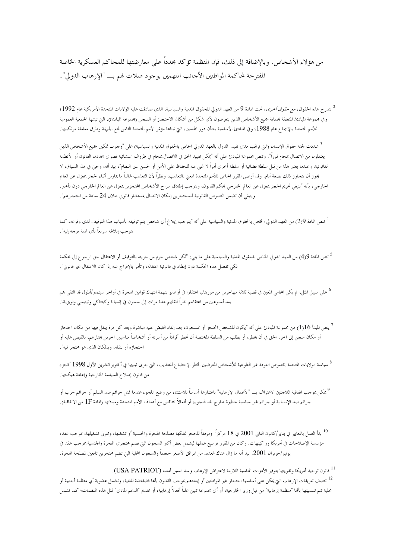من هؤلاء الأشخاص. وبالإضافة إلى ذلك، فإن المنظمة تؤكد مجدداً على معارضتها للمحاكم العسكرية الخاصة المقترحة لمحاكمة المواطنين الأجانب المتهمين بوجود صلات لهم بـــ "الإرهاب الدولي".

<sup>2</sup> تندرج هذه الحقوق، مع *حقوق أخرى*، تحت المادة 9 من العهد الدولي للحقوق المدنية والسياسية، الذي صادقت عليه الولايات المتحدة الأمريكية عام 1992؛ وفي مجموعة المبادئ المتعلقة بحماية جميع الأشخاص الذين يتعرضون لأي شكل من أشكال الاحتحاز أو السحن (بحموعة المبادئ)، التي تبنتها الجمعية العمومية للأمم المتحدة بالإجماع عام 1988؛ وفي المبادئ الأساسية بشأن دور المحامين، التي تبناها مؤتمر الأمم المتحدة الثامن لمنع الجريمة وطرق معاملة مرتكبيها.

<sup>3</sup> شددت لجنة حقوق الإنسان (التي تراقب مدى تقيد الدول بالعهد الدولي الخاص بالحقوق المدنية والسياسية) على "وجوب تمكين جميع الأشخاص الذين يعتقلون من الاتصال بمحام فوراً". وتنص مجموعة المبادئ على أنه "يمكن تقييد الحق في الاتصال بمحام في ظروف استثنائية قصوى يحددها القانون أو الأنظمة القانونية، وعندما يعتبر هذا من قبل سلطة قضائية أو سلطة أحرى أمراً لا غين عنه للحفاظ على الأمن أو لحسن سير النظام"، بيد أنه، وحيت في هذا السياق، لا يجوز أن يتحاوز ذلك بضعة أيام. وقد أوصى المقرر الخاص للأمم المتحدة المعنى بالتعذيب، ونظراً لأن التعذيب غالباً ما يمارس أثناء الحجز بمعزل عن العالم الخارجي، بأنه "ينبغي تحريم الحجز بمعزل عن العالم الخارجي بحكم القانون، ويتوجب إطلاق سراح الأشخاص المحتجزين بمعزل عن العالم الخارجي دون تأخير. وينبغي أن تضمن النصوص القانونية للمحتجزين إمكان الاتصال بمستشار قانوني حلال 24 ساعة من احتجازهم".

<sup>4</sup> تنص المادة 9(2) من العهد الدولي الخاص بالحقوق المدنية والسياسية على أنه "يتوجب إبلاغ أي شخص يتم توقيفه بأسباب هذا التوقيف لدى وقوعه، كما يتوجب إبلاغه سريعاً بأى تممة توجه إليه".

<sup>5</sup> تنص المادة 9(4) من العهد الدولي الخاص بالحقوق المدنية والسياسية على ما يلي: "لكل شخص حرم من حريته بالتوقيف أو الاعتقال حق الرجوع إلى محكمة لكم تفصل هذه المحكمة دون إبطاء في قانونية اعتقاله، وتأمر بالإفراج عنه إذا كان الاعتقال غير قانوني".

<sup>6</sup> على سبيل المثل، لم يكن المحلمي المعين في قضية ثلاثة مهاجرين من موريتانيا اعتقلوا في أوهايو بتهمة انتهاك قوانين الهجرة في أواخر سبتمبر/أيلول قد التقى بمم بعد أسبوعين من اعتقالهم نظراً لنقلهم عدة مرات إلى سحون في إنديانا وكينتاكي وتينيسي ولويزيانا.

<sup>7</sup> ينص المبدأ 16(1) من بحموعة المبادئ على أنه "يكون للشخص المحتجز أو المسجون، بعد إلقاء القبض عليه مباشرة وبعد كل مرة ينقل فيها من مكان احتجاز أو مكان سجن إلى آخر، الحق في أن يخطر، أو يطلب من السلطة المختصة أن تخطر أفراداً من أسرته أو أشخاصاً مناسبين آخرين يختارهم، بالقبض عليه أو احتجازه أو بنقله، وبالمكان الذي هو محتجز فيه".

<sup>8</sup> سياسة الولايات المتحدة بخصوص العودة غير الطوعية للأشخاص المعرضين لخطر الإخضاع للتعذيب، التي جري تبنيها في أكتوبر/تشرين الأول 1998 كحزء من قانون إصلاح السياسة الخارجية وإعادة هيكلتها.

<sup>9</sup> يمكن بموحب اتفاقية اللاحتين الاعتراف بــ "الأعمال الإرهابية" باعتبارها أساساً للاستثناء من وضع اللجوء عندما تمثل جرائم ضد السلم أو حرائم حرب أو حرائم ضد الإنسانية أو حرائم غير سياسية خطيرة حارج بلد اللحوء، أو أفعالاً تتناقض مع أهداف الأمم المتحدة ومبادئها (المادة IF من الاتفاقية).

<sup>10</sup> بدأ العمل بالمعايير في يناير/كانون الثاني 2001 في 18 مركزاً ومرفقاً للحجز تملكها مصلحة الهجرة والجنسية أو تشغلها، وتتولى تشغيلها، بموجب عقد، مؤسسة الإصلاحات في أمريكا وواكينهات. وكان من المقرر توسيع عملها ليشمل بعض أكبر السجون التي تضم محتجزي الهجرة والجنسية بموجب عقد في يونيو/حزيران 2001. بيد أنه ما زال هناك العديد من المرافق الأصغر حجماً والسجون المحلية التي تضم محتجزين تابعين لمصلحة الهجرة.

<sup>11</sup> قانون توحيد أمريكا وتقويتها بتوفير الأدوات المناسبة اللازمة لاعتراض الإرهاب وسد السبل أمامه (USA PATRIOT). <sup>12</sup> تتصف تعريفات الإرهاب التي يمكن على أساسها احتجاز غير المواطنين أو إبعادهم بموجب القانون بألها فضفاضة للغاية، وتشمل عضوية أي منظمة أجنبية أو محلية تتم تسميتها بألها "منظمة إرهابية" من قبل وزير الخارجية، أو أي مجموعة تتبين علناً أفعالاً إرهابية، أو تقديم "الدعم المادي" لمثل هذه المنظمات؛ كما تشمل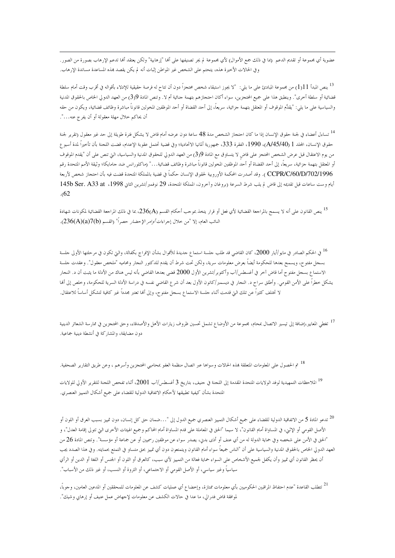عضوية أي مجموعة أو تقديم الدعم (بما في ذلك جمع الأموال) لأي مجموعة لم يجر تصنيفها على ألها "إرهابية" ولكن يعتقد ألها تدعم الإرهاب بصورة من الصور. وفي الحالات الأخيرة هذه، يتحتم على الشخص غير المواطن إثبات أنه لم يكن يقصد بمذه المساعدة مساندة الإرهاب.

<sup>13</sup> ينص المبدأ 1[1] من مجموعة المبادئ على ما يلي: "لا يجوز استبقاء شخص محتجزاً دون أن تتاح له فرصة حقيقية للإدلاء بأقواله في أقرب وقت أمام سلطة قضائية أو سلطة أخرى". وينطبق هذا على جميع المختجزين، سواء أكان احتحازهم بتهمة جنائية أم لا. وتنص المادة 9(3) من العهد الدولي الخاص بالحقوق المدنية والسياسية على ما يلي: "يقلَّع الموقوف أو المعتقل بتهمة جزائية، سريعاً، إلى أحد القضاة أو أحد الموظفين المحولين قانوناً مباشرة وظائف قضائية، ويكون من حقه أن يحاكم حلال مهلة معقولة أو أن يفرج عنه…".

<sup>14</sup> تساءل أعضاء في لجنة حقوق الإنسان إذا ما كان احتحاز الشخص مدة 48 ساعة دون عرضه أمام قاض لا يشكل فترة طويلة إلى حد غير معقول (تقرير لجنة حقوق الإنسان، المجلد A/45/40j ، 1990، الفقرة 333، جمهورية ألمانيا الاتحادية؛ وفي قضية تحتمل عقوبة الإعدام، قضت اللحنة بأن تأخيراً لمدة أسبو ع من يوم الاعتقال قبل عرض الشخص المختجز على قاض لا يتساوق مع المادة 9ز9) من العهد الدولي للحقوق المدنية والسياسية، التي تنص على أن "يقدم الموقوف أو المعتقل بتهمة جزائية، سريعاً، إلى أحد القضاة أو أحد الموظفين المخولين قانوناً مباشرة وظائف قضائية…" (ماكلورانس ضد حامايكا؛ وثيقة الأمم المتحدة رقم CCPR/C/60/D/702/1996 ). وقد أصدرت المحكمة الأوروبية لحقوق الإنسان حكماً في قضية بالمملكة المتحدة قضت فيه بأن احتجاز شخص لأربعة أيام وست ساعات قبل تقديمه إلى قاض لم يلب شرط السرعة (بروغان وآخرون، المملكة المتحدة، 29 نوفمبر/تشرين الثاني 1998، A33 at 1998  $.62$ 

<sup>15</sup> ينص القانون على أنه لا يسمح بالمراجعة القضائية لأى فعل أو قرار يتخذ بموجب أحكام القسم (236A، بما في ذلك المراجعة القضائية لمكونات شهادة النائب العام، إلا "من خلال إجراءات *أوامر الإحضار* حصراً" (القسم (236(A)(a)7(b).

<sup>16</sup> في الحكم الصادر في مايو/أيار 2000، كان القاضي قد طلب حلسة استماع حديدة للأقوال بشأن الإفراج بكفالة، وال<sub>ق</sub> تكون في مرحلتها الأولى حلسة بسجل مفتوح، ويسمح بعدها للحكومة أيضاً بعرض معلومات سرية، ولكن تحت شرط أن يقدم للدكتور النجار ومحاميه "ملخص معقول". وعقدت حلسة الاستماع بسجل مفتوح أما قاض آخر في أغسطس/آب وأكتوبر/تشرين الأول 2000 قضى بعدها القاضي بأنه ليس هناك من الأدلة ما يثبت أن د. النجار يشكل خطراً على الأمن القومي. وأطلق سراح د. النجار في ديسمبر/كانون الأول بعد أن شرع القاضي نفسه في دراسة الأدلة السرية للحكومة، وخلص إلى أنما لا تختلف كثيراً عن تلك التي قدمت أثناء جلسة الاستماع بسحل مفتوح، وإلى أنما تعتبر مجدداً غير كافية لتشكل أساساً للاعتقال.

<sup>17</sup> تغطى المعايير،إضافة إلى تيسير الاتصال بمحام، بحموعة من الأوضاع تشمل تحسين ظروف زيارات الأهل والأصدقاء، وحق المحتجزين في ممارسة الشعائر الدينية دون مضايقة، والمشاركة في أنشطة دينية جماعية.

<sup>18</sup> تم الحصول على المعلومات المتعلقة بمذه الحالات وسواها عبر اتصال منظمة العفو بمحاميي المحتحزين وأسرهم ، وعن طريق التقارير الصحفية.

<sup>19</sup> الملاحظات التمهيدية لوفد الولايات المتحدة المقدمة إلى اللحنة في جنيف، بتاريخ 3 أغسطس/آب 2001، أثناء تفحص اللحنة للتقرير الأولي للولايات المتحدة بشأن كيفية تطبيقها لأحكام الاتفاقية الدولية للقضاء على جميع أشكال التمييز العنصري.

<sup>20</sup> تدعو المادة 5 من الاتفاقية الدولية للقضاء على جميع أشكال التمييز العنصري جميع الدول إلى "…ضمان حق كل إنسان، دون تمييز بسبب العرق أو اللون أو الأصل القومي أو الإثني، في المساواة أمام القانون"، لا سيما "الحق في المعاملة على قدم المساواة أمام المحاكم وجميع الهيئات الأخرى التي تتولى إقامة العدل"، و "الحق في الأمن على شخصه وفي حماية الدولة له من أي عنف أو أذى بدني، يصدر سواء عن موظفين رسميين أو عن جماعة أو مؤسسة". وتنص المادة 26 من العهد الدولي الخاص بالحقوق المدنية والسياسية على أن "الناس جميعاً سواء أمام القانون ويتمتعون دون أي تمييز بحق متساو في التمتع بحمايته. وفي هذا الصدد يجب أن يحظر القانون أي تمييز وأن يكفل لجميع الأشخاص على السواء حماية فعالة من التمييز لأي سبب، كالعرق أو اللون أو الجنس أو اللغة أو الدين أو الرأي سياسياً وغير سياسي، أو الأصل القومي أو الاحتماعي، أو الثروة أو النسب، أو غير ذلك من الأسباب".

<sup>21</sup> تتطلب القاعدة "عدم احتفاظ المراقبين الحكوميين بأي معلومات ممتازة، وإخضاع أي عمليات كشف عن المعلومات للمحققين أو المدعين العامين، وجوباً، لموافقة قاض فدرالي، ما عدا في حالات الكشف عن معلومات لإجهاض عمل عنيف أو إرهابي وشيك".